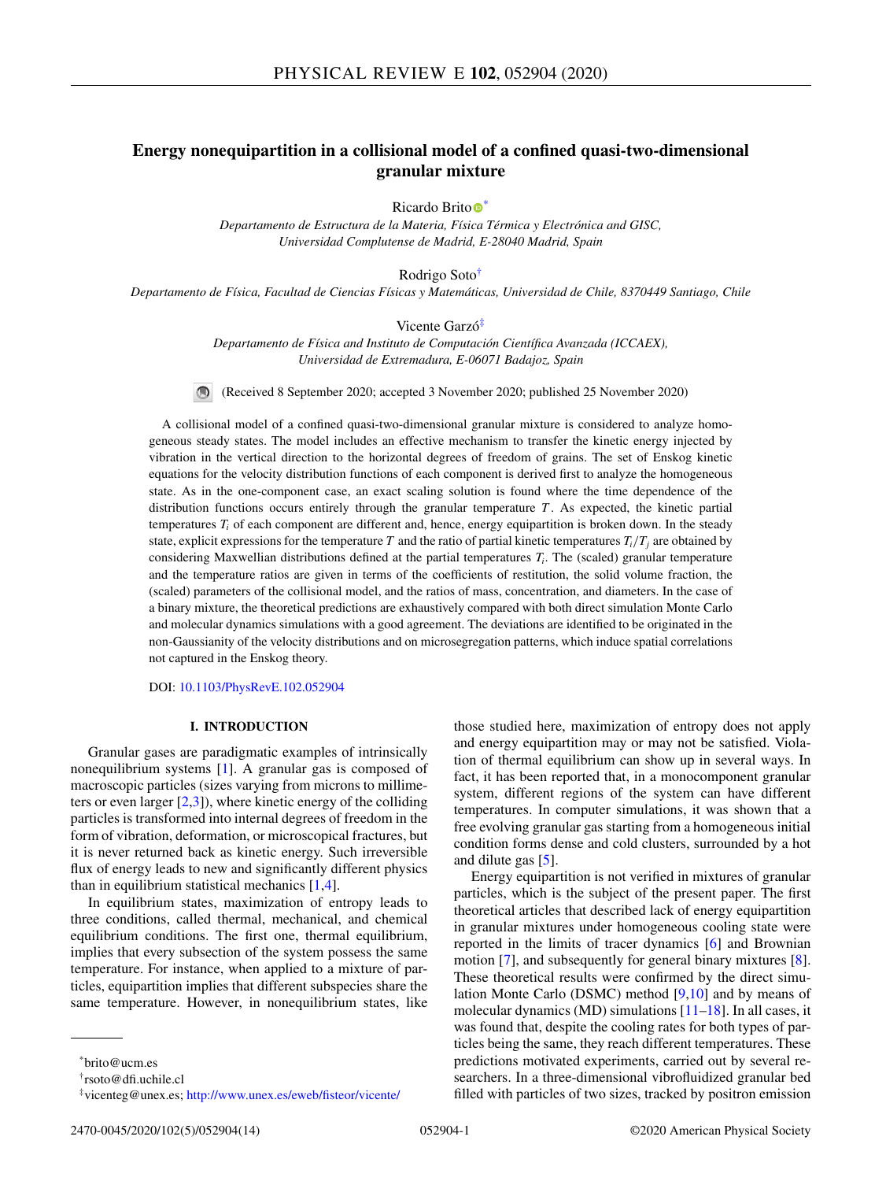# **Energy nonequipartition in a collisional model of a confined quasi-two-dimensional granular mixture**

Ricardo Brito<sup>®</sup>

*Departamento de Estructura de la Materia, Física Térmica y Electrónica and GISC, Universidad Complutense de Madrid, E-28040 Madrid, Spain*

Rodrigo Soto†

*Departamento de Física, Facultad de Ciencias Físicas y Matemáticas, Universidad de Chile, 8370449 Santiago, Chile*

Vicente Garzó‡

*Departamento de Física and Instituto de Computación Científica Avanzada (ICCAEX), Universidad de Extremadura, E-06071 Badajoz, Spain*

(Received 8 September 2020; accepted 3 November 2020; published 25 November 2020)

A collisional model of a confined quasi-two-dimensional granular mixture is considered to analyze homogeneous steady states. The model includes an effective mechanism to transfer the kinetic energy injected by vibration in the vertical direction to the horizontal degrees of freedom of grains. The set of Enskog kinetic equations for the velocity distribution functions of each component is derived first to analyze the homogeneous state. As in the one-component case, an exact scaling solution is found where the time dependence of the distribution functions occurs entirely through the granular temperature *T* . As expected, the kinetic partial temperatures  $T_i$  of each component are different and, hence, energy equipartition is broken down. In the steady state, explicit expressions for the temperature *T* and the ratio of partial kinetic temperatures  $T_i/T_j$  are obtained by considering Maxwellian distributions defined at the partial temperatures *Ti*. The (scaled) granular temperature and the temperature ratios are given in terms of the coefficients of restitution, the solid volume fraction, the (scaled) parameters of the collisional model, and the ratios of mass, concentration, and diameters. In the case of a binary mixture, the theoretical predictions are exhaustively compared with both direct simulation Monte Carlo and molecular dynamics simulations with a good agreement. The deviations are identified to be originated in the non-Gaussianity of the velocity distributions and on microsegregation patterns, which induce spatial correlations not captured in the Enskog theory.

DOI: [10.1103/PhysRevE.102.052904](https://doi.org/10.1103/PhysRevE.102.052904)

### **I. INTRODUCTION**

Granular gases are paradigmatic examples of intrinsically nonequilibrium systems [\[1\]](#page-12-0). A granular gas is composed of macroscopic particles (sizes varying from microns to millimeters or even larger  $[2,3]$ ), where kinetic energy of the colliding particles is transformed into internal degrees of freedom in the form of vibration, deformation, or microscopical fractures, but it is never returned back as kinetic energy. Such irreversible flux of energy leads to new and significantly different physics than in equilibrium statistical mechanics [\[1,4\]](#page-12-0).

In equilibrium states, maximization of entropy leads to three conditions, called thermal, mechanical, and chemical equilibrium conditions. The first one, thermal equilibrium, implies that every subsection of the system possess the same temperature. For instance, when applied to a mixture of particles, equipartition implies that different subspecies share the same temperature. However, in nonequilibrium states, like

those studied here, maximization of entropy does not apply and energy equipartition may or may not be satisfied. Violation of thermal equilibrium can show up in several ways. In fact, it has been reported that, in a monocomponent granular system, different regions of the system can have different temperatures. In computer simulations, it was shown that a free evolving granular gas starting from a homogeneous initial condition forms dense and cold clusters, surrounded by a hot and dilute gas [\[5\]](#page-12-0).

Energy equipartition is not verified in mixtures of granular particles, which is the subject of the present paper. The first theoretical articles that described lack of energy equipartition in granular mixtures under homogeneous cooling state were reported in the limits of tracer dynamics [\[6\]](#page-12-0) and Brownian motion [\[7\]](#page-12-0), and subsequently for general binary mixtures [\[8\]](#page-12-0). These theoretical results were confirmed by the direct simulation Monte Carlo (DSMC) method  $[9,10]$  and by means of molecular dynamics (MD) simulations [\[11–18\]](#page-12-0). In all cases, it was found that, despite the cooling rates for both types of particles being the same, they reach different temperatures. These predictions motivated experiments, carried out by several researchers. In a three-dimensional vibrofluidized granular bed filled with particles of two sizes, tracked by positron emission

<sup>\*</sup>brito@ucm.es

<sup>†</sup>rsoto@dfi.uchile.cl

<sup>‡</sup>vicenteg@unex.es; <http://www.unex.es/eweb/fisteor/vicente/>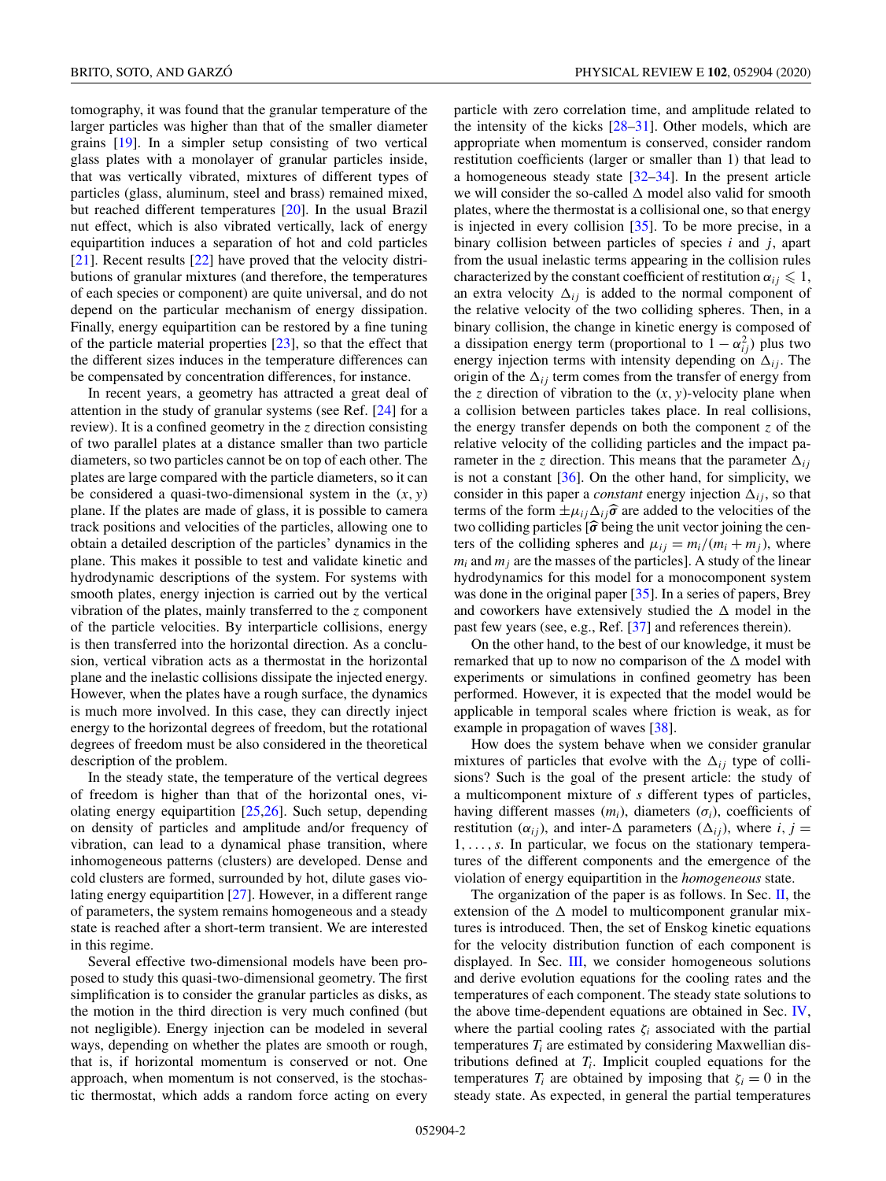tomography, it was found that the granular temperature of the larger particles was higher than that of the smaller diameter grains [\[19\]](#page-12-0). In a simpler setup consisting of two vertical glass plates with a monolayer of granular particles inside, that was vertically vibrated, mixtures of different types of particles (glass, aluminum, steel and brass) remained mixed, but reached different temperatures [\[20\]](#page-12-0). In the usual Brazil nut effect, which is also vibrated vertically, lack of energy equipartition induces a separation of hot and cold particles [\[21\]](#page-12-0). Recent results [\[22\]](#page-12-0) have proved that the velocity distributions of granular mixtures (and therefore, the temperatures of each species or component) are quite universal, and do not depend on the particular mechanism of energy dissipation. Finally, energy equipartition can be restored by a fine tuning of the particle material properties [\[23\]](#page-12-0), so that the effect that the different sizes induces in the temperature differences can be compensated by concentration differences, for instance.

In recent years, a geometry has attracted a great deal of attention in the study of granular systems (see Ref. [\[24\]](#page-12-0) for a review). It is a confined geometry in the *z* direction consisting of two parallel plates at a distance smaller than two particle diameters, so two particles cannot be on top of each other. The plates are large compared with the particle diameters, so it can be considered a quasi-two-dimensional system in the  $(x, y)$ plane. If the plates are made of glass, it is possible to camera track positions and velocities of the particles, allowing one to obtain a detailed description of the particles' dynamics in the plane. This makes it possible to test and validate kinetic and hydrodynamic descriptions of the system. For systems with smooth plates, energy injection is carried out by the vertical vibration of the plates, mainly transferred to the *z* component of the particle velocities. By interparticle collisions, energy is then transferred into the horizontal direction. As a conclusion, vertical vibration acts as a thermostat in the horizontal plane and the inelastic collisions dissipate the injected energy. However, when the plates have a rough surface, the dynamics is much more involved. In this case, they can directly inject energy to the horizontal degrees of freedom, but the rotational degrees of freedom must be also considered in the theoretical description of the problem.

In the steady state, the temperature of the vertical degrees of freedom is higher than that of the horizontal ones, violating energy equipartition [\[25,26\]](#page-12-0). Such setup, depending on density of particles and amplitude and/or frequency of vibration, can lead to a dynamical phase transition, where inhomogeneous patterns (clusters) are developed. Dense and cold clusters are formed, surrounded by hot, dilute gases violating energy equipartition [\[27\]](#page-12-0). However, in a different range of parameters, the system remains homogeneous and a steady state is reached after a short-term transient. We are interested in this regime.

Several effective two-dimensional models have been proposed to study this quasi-two-dimensional geometry. The first simplification is to consider the granular particles as disks, as the motion in the third direction is very much confined (but not negligible). Energy injection can be modeled in several ways, depending on whether the plates are smooth or rough, that is, if horizontal momentum is conserved or not. One approach, when momentum is not conserved, is the stochastic thermostat, which adds a random force acting on every

particle with zero correlation time, and amplitude related to the intensity of the kicks  $[28-31]$ . Other models, which are appropriate when momentum is conserved, consider random restitution coefficients (larger or smaller than 1) that lead to a homogeneous steady state [\[32–34\]](#page-12-0). In the present article we will consider the so-called  $\Delta$  model also valid for smooth plates, where the thermostat is a collisional one, so that energy is injected in every collision [\[35\]](#page-13-0). To be more precise, in a binary collision between particles of species *i* and *j*, apart from the usual inelastic terms appearing in the collision rules characterized by the constant coefficient of restitution  $\alpha_{ij} \leq 1$ , an extra velocity  $\Delta_{ij}$  is added to the normal component of the relative velocity of the two colliding spheres. Then, in a binary collision, the change in kinetic energy is composed of a dissipation energy term (proportional to  $1 - \alpha_{ij}^2$ ) plus two energy injection terms with intensity depending on  $\Delta_{ij}$ . The origin of the  $\Delta_{ij}$  term comes from the transfer of energy from the *z* direction of vibration to the  $(x, y)$ -velocity plane when a collision between particles takes place. In real collisions, the energy transfer depends on both the component *z* of the relative velocity of the colliding particles and the impact parameter in the *z* direction. This means that the parameter  $\Delta_{ij}$ is not a constant  $[36]$ . On the other hand, for simplicity, we consider in this paper a *constant* energy injection  $\Delta_{ij}$ , so that terms of the form  $\pm \mu_{ij} \Delta_{ij} \hat{\sigma}$  are added to the velocities of the two solutions residence is home to some two colliding particles  $\left[\hat{\sigma}\right]$  being the unit vector joining the cen-<br>term of the palliding subgree and unit vector  $\left(\left(\frac{m}{m}+\frac{1}{m}\right)^{m}\right)$  where ters of the colliding spheres and  $\mu_{ij} = m_i/(m_i + m_j)$ , where  $m_i$  and  $m_j$  are the masses of the particles]. A study of the linear hydrodynamics for this model for a monocomponent system was done in the original paper [\[35\]](#page-13-0). In a series of papers, Brey and coworkers have extensively studied the  $\Delta$  model in the past few years (see, e.g., Ref. [\[37\]](#page-13-0) and references therein).

On the other hand, to the best of our knowledge, it must be remarked that up to now no comparison of the  $\Delta$  model with experiments or simulations in confined geometry has been performed. However, it is expected that the model would be applicable in temporal scales where friction is weak, as for example in propagation of waves [\[38\]](#page-13-0).

How does the system behave when we consider granular mixtures of particles that evolve with the  $\Delta_{ij}$  type of collisions? Such is the goal of the present article: the study of a multicomponent mixture of *s* different types of particles, having different masses  $(m_i)$ , diameters  $(\sigma_i)$ , coefficients of restitution ( $\alpha_{ij}$ ), and inter- $\Delta$  parameters ( $\Delta_{ij}$ ), where *i*, *j* = 1,...,*s*. In particular, we focus on the stationary temperatures of the different components and the emergence of the violation of energy equipartition in the *homogeneous* state.

The organization of the paper is as follows. In Sec.  $II$ , the extension of the  $\Delta$  model to multicomponent granular mixtures is introduced. Then, the set of Enskog kinetic equations for the velocity distribution function of each component is displayed. In Sec. [III,](#page-3-0) we consider homogeneous solutions and derive evolution equations for the cooling rates and the temperatures of each component. The steady state solutions to the above time-dependent equations are obtained in Sec. [IV,](#page-4-0) where the partial cooling rates  $\zeta_i$  associated with the partial temperatures  $T_i$  are estimated by considering Maxwellian distributions defined at  $T_i$ . Implicit coupled equations for the temperatures  $T_i$  are obtained by imposing that  $\zeta_i = 0$  in the steady state. As expected, in general the partial temperatures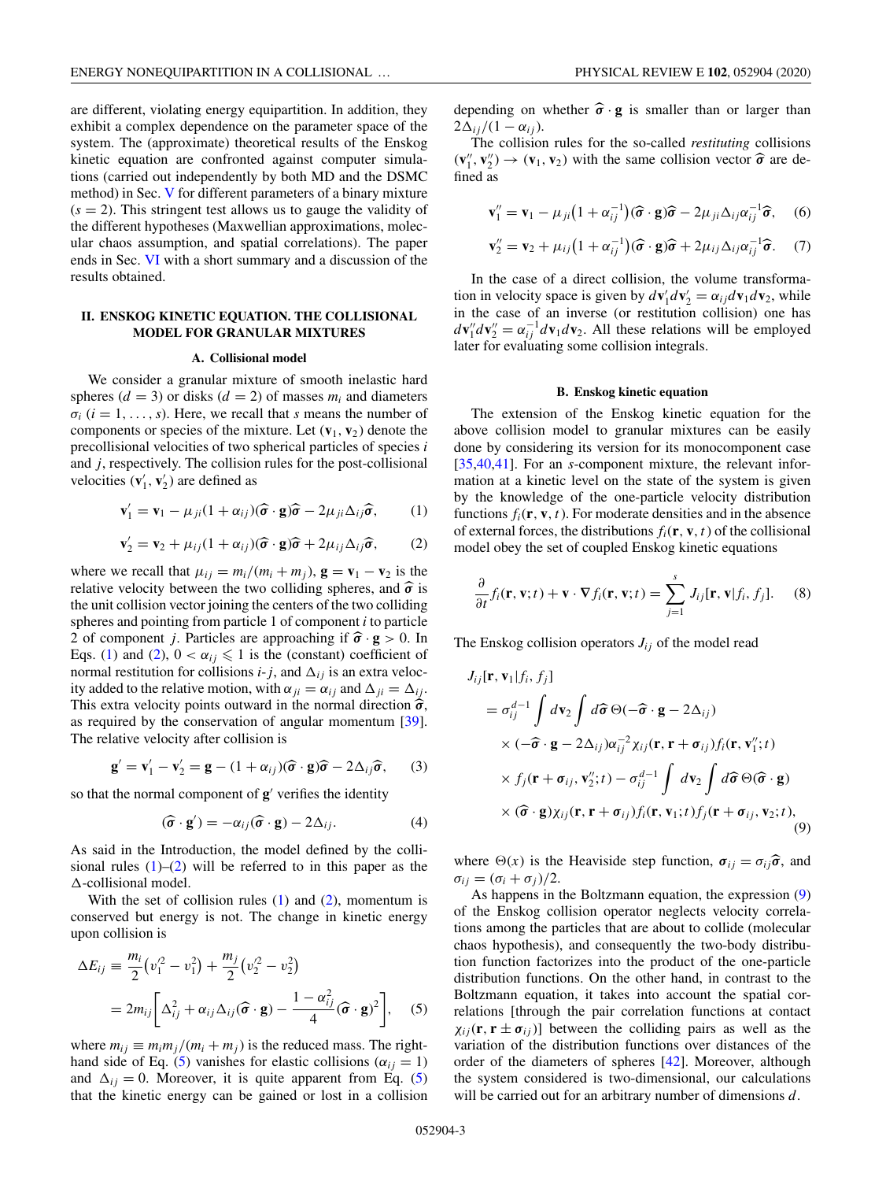<span id="page-2-0"></span>are different, violating energy equipartition. In addition, they exhibit a complex dependence on the parameter space of the system. The (approximate) theoretical results of the Enskog kinetic equation are confronted against computer simulations (carried out independently by both MD and the DSMC method) in Sec. [V](#page-5-0) for different parameters of a binary mixture  $(s = 2)$ . This stringent test allows us to gauge the validity of the different hypotheses (Maxwellian approximations, molecular chaos assumption, and spatial correlations). The paper ends in Sec. [VI](#page-9-0) with a short summary and a discussion of the results obtained.

# **II. ENSKOG KINETIC EQUATION. THE COLLISIONAL MODEL FOR GRANULAR MIXTURES**

#### **A. Collisional model**

We consider a granular mixture of smooth inelastic hard spheres  $(d = 3)$  or disks  $(d = 2)$  of masses  $m_i$  and diameters  $\sigma_i$  ( $i = 1, \ldots, s$ ). Here, we recall that *s* means the number of components or species of the mixture. Let  $(v_1, v_2)$  denote the precollisional velocities of two spherical particles of species *i* and *j*, respectively. The collision rules for the post-collisional velocities  $(\mathbf{v}'_1, \mathbf{v}'_2)$  are defined as

$$
\mathbf{v}'_1 = \mathbf{v}_1 - \mu_{ji} (1 + \alpha_{ij}) (\widehat{\boldsymbol{\sigma}} \cdot \mathbf{g}) \widehat{\boldsymbol{\sigma}} - 2\mu_{ji} \Delta_{ij} \widehat{\boldsymbol{\sigma}}, \qquad (1)
$$

$$
\mathbf{v}'_2 = \mathbf{v}_2 + \mu_{ij}(1 + \alpha_{ij})(\widehat{\boldsymbol{\sigma}} \cdot \mathbf{g})\widehat{\boldsymbol{\sigma}} + 2\mu_{ij}\Delta_{ij}\widehat{\boldsymbol{\sigma}},
$$
 (2)

where we recall that  $\mu_{ij} = m_i/(m_i + m_j)$ ,  $\mathbf{g} = \mathbf{v}_1 - \mathbf{v}_2$  is the relative velocity between the two colliding spheres, and  $\hat{\sigma}$  is<br>the unit colliding vector is injure the center of the two colliding the unit collision vector joining the centers of the two colliding spheres and pointing from particle 1 of component *i* to particle 2 of component *j*. Particles are approaching if  $\hat{\sigma} \cdot \mathbf{g} > 0$ . In Eqs. (1) and (2),  $0 < \alpha_{ij} \leq 1$  is the (constant) coefficient of normal restitution for collisions  $i-j$ , and  $\Delta_{ij}$  is an extra velocity added to the relative motion, with  $\alpha_{ji} = \alpha_{ij}$  and  $\Delta_{ji} = \Delta_{ij}$ . This extra velocity points outward in the normal direction  $\hat{\sigma}$ , as required by the conservation of angular momentum [\[39\]](#page-13-0). The relative velocity after collision is

$$
\mathbf{g}' = \mathbf{v}'_1 - \mathbf{v}'_2 = \mathbf{g} - (1 + \alpha_{ij})(\widehat{\boldsymbol{\sigma}} \cdot \mathbf{g})\widehat{\boldsymbol{\sigma}} - 2\Delta_{ij}\widehat{\boldsymbol{\sigma}},\qquad(3)
$$

so that the normal component of **g**' verifies the identity

$$
(\widehat{\boldsymbol{\sigma}} \cdot \mathbf{g}') = -\alpha_{ij}(\widehat{\boldsymbol{\sigma}} \cdot \mathbf{g}) - 2\Delta_{ij}.
$$
 (4)

As said in the Introduction, the model defined by the collisional rules  $(1)$ – $(2)$  will be referred to in this paper as the --collisional model.

With the set of collision rules  $(1)$  and  $(2)$ , momentum is conserved but energy is not. The change in kinetic energy upon collision is

$$
\Delta E_{ij} \equiv \frac{m_i}{2} (v_1^2 - v_1^2) + \frac{m_j}{2} (v_2^2 - v_2^2)
$$
  
= 
$$
2m_{ij} \bigg[ \Delta_{ij}^2 + \alpha_{ij} \Delta_{ij} (\widehat{\boldsymbol{\sigma}} \cdot \mathbf{g}) - \frac{1 - \alpha_{ij}^2}{4} (\widehat{\boldsymbol{\sigma}} \cdot \mathbf{g})^2 \bigg], \quad (5)
$$

where  $m_{ij} \equiv m_i m_j/(m_i + m_j)$  is the reduced mass. The righthand side of Eq. (5) vanishes for elastic collisions ( $\alpha_{ij} = 1$ ) and  $\Delta_{ij} = 0$ . Moreover, it is quite apparent from Eq. (5) that the kinetic energy can be gained or lost in a collision depending on whether  $\hat{\sigma} \cdot g$  is smaller than or larger than  $2\Delta_{ij}/(1-\alpha_{ij}).$ 

The collision rules for the so-called *restituting* collisions  $(v_1'', v_2'') \rightarrow (v_1, v_2)$  with the same collision vector  $\hat{\sigma}$  are defined as

$$
\mathbf{v}_{1}^{"} = \mathbf{v}_{1} - \mu_{ji} \big( 1 + \alpha_{ij}^{-1} \big) (\widehat{\boldsymbol{\sigma}} \cdot \mathbf{g}) \widehat{\boldsymbol{\sigma}} - 2 \mu_{ji} \Delta_{ij} \alpha_{ij}^{-1} \widehat{\boldsymbol{\sigma}}, \quad (6)
$$

$$
\mathbf{v}_2'' = \mathbf{v}_2 + \mu_{ij} \big( 1 + \alpha_{ij}^{-1} \big) (\widehat{\boldsymbol{\sigma}} \cdot \mathbf{g}) \widehat{\boldsymbol{\sigma}} + 2 \mu_{ij} \Delta_{ij} \alpha_{ij}^{-1} \widehat{\boldsymbol{\sigma}}. \quad (7)
$$

In the case of a direct collision, the volume transformation in velocity space is given by  $d\mathbf{v}'_1 d\mathbf{v}'_2 = \alpha_{ij} d\mathbf{v}_1 d\mathbf{v}_2$ , while in the case of an inverse (or restitution collision) one has  $d\mathbf{v}_1'' d\mathbf{v}_2'' = \alpha_{ij}^{-1} d\mathbf{v}_1 d\mathbf{v}_2$ . All these relations will be employed later for evaluating some collision integrals.

#### **B. Enskog kinetic equation**

The extension of the Enskog kinetic equation for the above collision model to granular mixtures can be easily done by considering its version for its monocomponent case [\[35,40,41\]](#page-13-0). For an *s*-component mixture, the relevant information at a kinetic level on the state of the system is given by the knowledge of the one-particle velocity distribution functions  $f_i(\mathbf{r}, \mathbf{v}, t)$ . For moderate densities and in the absence of external forces, the distributions  $f_i(\mathbf{r}, \mathbf{v}, t)$  of the collisional model obey the set of coupled Enskog kinetic equations

$$
\frac{\partial}{\partial t} f_i(\mathbf{r}, \mathbf{v}; t) + \mathbf{v} \cdot \nabla f_i(\mathbf{r}, \mathbf{v}; t) = \sum_{j=1}^s J_{ij}[\mathbf{r}, \mathbf{v}|f_i, f_j]. \tag{8}
$$

The Enskog collision operators  $J_{ij}$  of the model read

$$
J_{ij}[\mathbf{r}, \mathbf{v}_1 | f_i, f_j]
$$
  
\n
$$
= \sigma_{ij}^{d-1} \int d\mathbf{v}_2 \int d\hat{\sigma} \Theta(-\hat{\sigma} \cdot \mathbf{g} - 2\Delta_{ij})
$$
  
\n
$$
\times (-\hat{\sigma} \cdot \mathbf{g} - 2\Delta_{ij}) \alpha_{ij}^{-2} \chi_{ij}(\mathbf{r}, \mathbf{r} + \sigma_{ij}) f_i(\mathbf{r}, \mathbf{v}_1''; t)
$$
  
\n
$$
\times f_j(\mathbf{r} + \sigma_{ij}, \mathbf{v}_2''; t) - \sigma_{ij}^{d-1} \int d\mathbf{v}_2 \int d\hat{\sigma} \Theta(\hat{\sigma} \cdot \mathbf{g})
$$
  
\n
$$
\times (\hat{\sigma} \cdot \mathbf{g}) \chi_{ij}(\mathbf{r}, \mathbf{r} + \sigma_{ij}) f_i(\mathbf{r}, \mathbf{v}_1; t) f_j(\mathbf{r} + \sigma_{ij}, \mathbf{v}_2; t),
$$
  
\n(9)

where  $\Theta(x)$  is the Heaviside step function,  $\sigma_{ij} = \sigma_{ij} \hat{\sigma}$ , and  $\sigma_{ij} = (\sigma_i + \sigma_j)/2.$ 

As happens in the Boltzmann equation, the expression [\(9\)](#page-8-0) of the Enskog collision operator neglects velocity correlations among the particles that are about to collide (molecular chaos hypothesis), and consequently the two-body distribution function factorizes into the product of the one-particle distribution functions. On the other hand, in contrast to the Boltzmann equation, it takes into account the spatial correlations [through the pair correlation functions at contact  $\chi_{ii}$ (**r**, **r**  $\pm \sigma_{ii}$ )] between the colliding pairs as well as the variation of the distribution functions over distances of the order of the diameters of spheres [\[42\]](#page-13-0). Moreover, although the system considered is two-dimensional, our calculations will be carried out for an arbitrary number of dimensions *d*.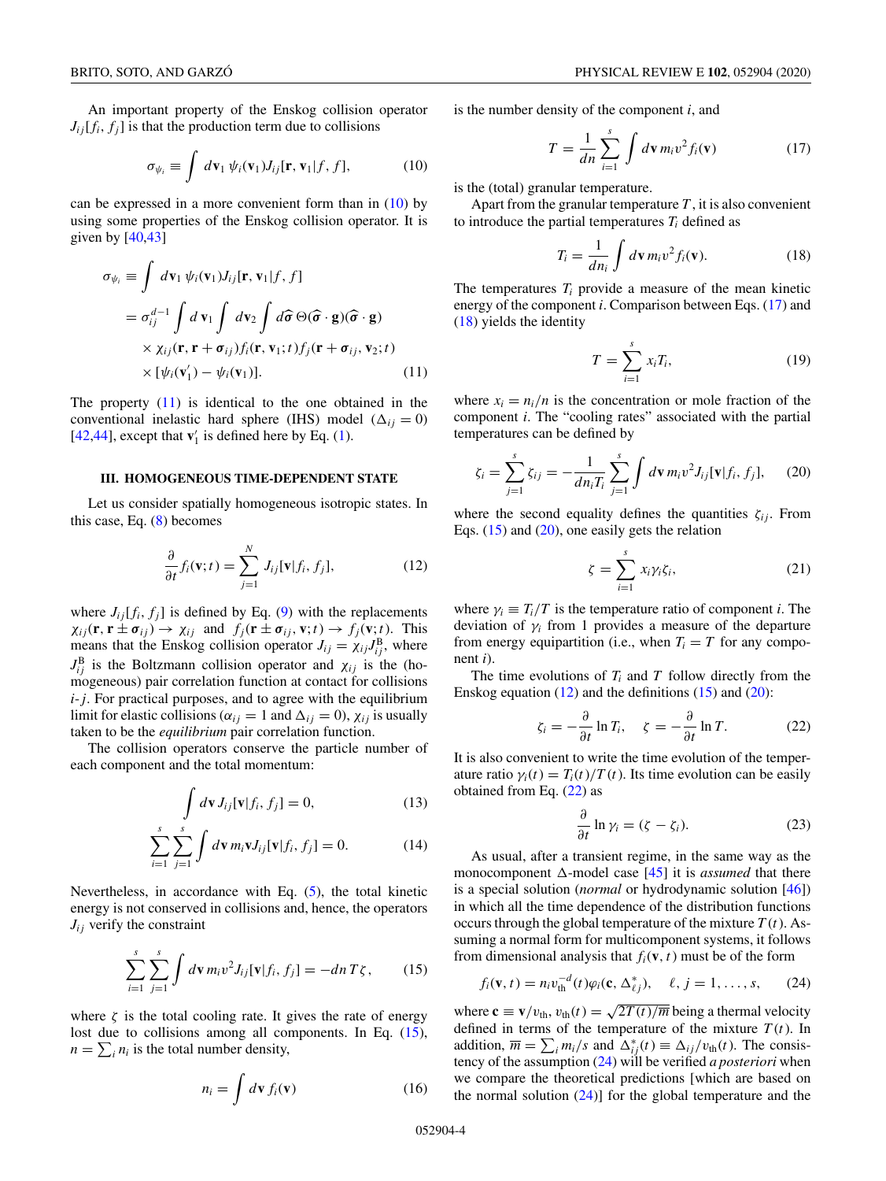<span id="page-3-0"></span>An important property of the Enskog collision operator  $J_{ij}[f_i, f_j]$  is that the production term due to collisions

$$
\sigma_{\psi_i} \equiv \int d\mathbf{v}_1 \, \psi_i(\mathbf{v}_1) J_{ij}[\mathbf{r}, \mathbf{v}_1 | f, f], \tag{10}
$$

can be expressed in a more convenient form than in (10) by using some properties of the Enskog collision operator. It is given by  $[40, 43]$ 

$$
\sigma_{\psi_i} \equiv \int d\mathbf{v}_1 \, \psi_i(\mathbf{v}_1) J_{ij}[\mathbf{r}, \mathbf{v}_1 | f, f]
$$
  
\n
$$
= \sigma_{ij}^{d-1} \int d\mathbf{v}_1 \int d\mathbf{v}_2 \int d\hat{\sigma} \, \Theta(\hat{\sigma} \cdot \mathbf{g})(\hat{\sigma} \cdot \mathbf{g})
$$
  
\n
$$
\times \chi_{ij}(\mathbf{r}, \mathbf{r} + \sigma_{ij}) f_i(\mathbf{r}, \mathbf{v}_1; t) f_j(\mathbf{r} + \sigma_{ij}, \mathbf{v}_2; t)
$$
  
\n
$$
\times [\psi_i(\mathbf{v}'_1) - \psi_i(\mathbf{v}_1)]. \tag{11}
$$

The property  $(11)$  is identical to the one obtained in the conventional inelastic hard sphere (IHS) model  $(\Delta_{ij} = 0)$ [\[42,44\]](#page-13-0), except that  $\mathbf{v}'_1$  is defined here by Eq. [\(1\)](#page-2-0).

# **III. HOMOGENEOUS TIME-DEPENDENT STATE**

Let us consider spatially homogeneous isotropic states. In this case, Eq.  $(8)$  becomes

$$
\frac{\partial}{\partial t} f_i(\mathbf{v}; t) = \sum_{j=1}^N J_{ij}[\mathbf{v}|f_i, f_j], \qquad (12)
$$

where  $J_{ij}[f_i, f_j]$  is defined by Eq. [\(9\)](#page-8-0) with the replacements  $\chi_{ij}(\mathbf{r}, \mathbf{r} \pm \boldsymbol{\sigma}_{ij}) \rightarrow \chi_{ij}$  and  $f_j(\mathbf{r} \pm \boldsymbol{\sigma}_{ij}, \mathbf{v}; t) \rightarrow f_j(\mathbf{v}; t)$ . This means that the Enskog collision operator  $J_{ij} = \chi_{ij} J_{ij}^B$ , where  $J_{ij}^B$  is the Boltzmann collision operator and  $\chi_{ij}$  is the (homogeneous) pair correlation function at contact for collisions *i*-*j*. For practical purposes, and to agree with the equilibrium limit for elastic collisions ( $\alpha_{ij} = 1$  and  $\Delta_{ij} = 0$ ),  $\chi_{ij}$  is usually taken to be the *equilibrium* pair correlation function.

The collision operators conserve the particle number of each component and the total momentum:

$$
\int d\mathbf{v} J_{ij}[\mathbf{v}|f_i, f_j] = 0,
$$
\n(13)

$$
\sum_{i=1}^{s} \sum_{j=1}^{s} \int d\mathbf{v} \, m_i \mathbf{v} J_{ij}[\mathbf{v} | f_i, f_j] = 0.
$$
 (14)

Nevertheless, in accordance with Eq.  $(5)$ , the total kinetic energy is not conserved in collisions and, hence, the operators  $J_{ij}$  verify the constraint

$$
\sum_{i=1}^{s} \sum_{j=1}^{s} \int d\mathbf{v} \, m_i v^2 J_{ij}[\mathbf{v}|f_i, f_j] = -dn \, T \zeta, \qquad (15)
$$

where  $\zeta$  is the total cooling rate. It gives the rate of energy lost due to collisions among all components. In Eq. (15),  $n = \sum_i n_i$  is the total number density,

$$
n_i = \int d\mathbf{v} \, f_i(\mathbf{v}) \tag{16}
$$

is the number density of the component *i*, and

$$
T = \frac{1}{dn} \sum_{i=1}^{s} \int d\mathbf{v} \, m_i v^2 f_i(\mathbf{v}) \tag{17}
$$

is the (total) granular temperature.

Apart from the granular temperature  $T$ , it is also convenient to introduce the partial temperatures  $T_i$  defined as

$$
T_i = \frac{1}{dn_i} \int d\mathbf{v} \, m_i v^2 f_i(\mathbf{v}). \tag{18}
$$

The temperatures  $T_i$  provide a measure of the mean kinetic energy of the component *i*. Comparison between Eqs. (17) and (18) yields the identity

$$
T = \sum_{i=1}^{s} x_i T_i,
$$
 (19)

where  $x_i = n_i/n$  is the concentration or mole fraction of the component *i*. The "cooling rates" associated with the partial temperatures can be defined by

$$
\zeta_i = \sum_{j=1}^s \zeta_{ij} = -\frac{1}{dn_i T_i} \sum_{j=1}^s \int d\mathbf{v} \, m_i v^2 J_{ij}[\mathbf{v}|f_i, f_j], \qquad (20)
$$

where the second equality defines the quantities  $\zeta_{ij}$ . From Eqs.  $(15)$  and  $(20)$ , one easily gets the relation

$$
\zeta = \sum_{i=1}^{s} x_i \gamma_i \zeta_i, \qquad (21)
$$

where  $\gamma_i \equiv T_i/T$  is the temperature ratio of component *i*. The deviation of  $\gamma$ <sup>*i*</sup> from 1 provides a measure of the departure from energy equipartition (i.e., when  $T_i = T$  for any component *i*).

The time evolutions of  $T_i$  and  $T$  follow directly from the Enskog equation  $(12)$  and the definitions  $(15)$  and  $(20)$ :

$$
\zeta_i = -\frac{\partial}{\partial t} \ln T_i, \quad \zeta = -\frac{\partial}{\partial t} \ln T. \tag{22}
$$

It is also convenient to write the time evolution of the temperature ratio  $\gamma_i(t) = T_i(t)/T(t)$ . Its time evolution can be easily obtained from Eq. (22) as

$$
\frac{\partial}{\partial t} \ln \gamma_i = (\zeta - \zeta_i). \tag{23}
$$

As usual, after a transient regime, in the same way as the monocomponent  $\Delta$ -model case [\[45\]](#page-13-0) it is *assumed* that there is a special solution (*normal* or hydrodynamic solution [\[46\]](#page-13-0)) in which all the time dependence of the distribution functions occurs through the global temperature of the mixture  $T(t)$ . Assuming a normal form for multicomponent systems, it follows from dimensional analysis that  $f_i(\mathbf{v}, t)$  must be of the form

$$
f_i(\mathbf{v},t) = n_i v_{\text{th}}^{-d}(t) \varphi_i(\mathbf{c}, \Delta_{\ell j}^*), \quad \ell, j = 1, \dots, s, \qquad (24)
$$

where  $\mathbf{c} \equiv \mathbf{v}/v_{\text{th}}$ ,  $v_{\text{th}}(t) = \sqrt{2T(t)/m}$  being a thermal velocity defined in terms of the temperature of the mixture  $T(t)$ . In addition,  $\overline{m} = \sum_i m_i / s$  and  $\Delta_{ij}^*(t) \equiv \Delta_{ij} / v_{\text{th}}(t)$ . The consistency of the assumption (24) will be verified *a posteriori* when we compare the theoretical predictions [which are based on the normal solution  $(24)$ ] for the global temperature and the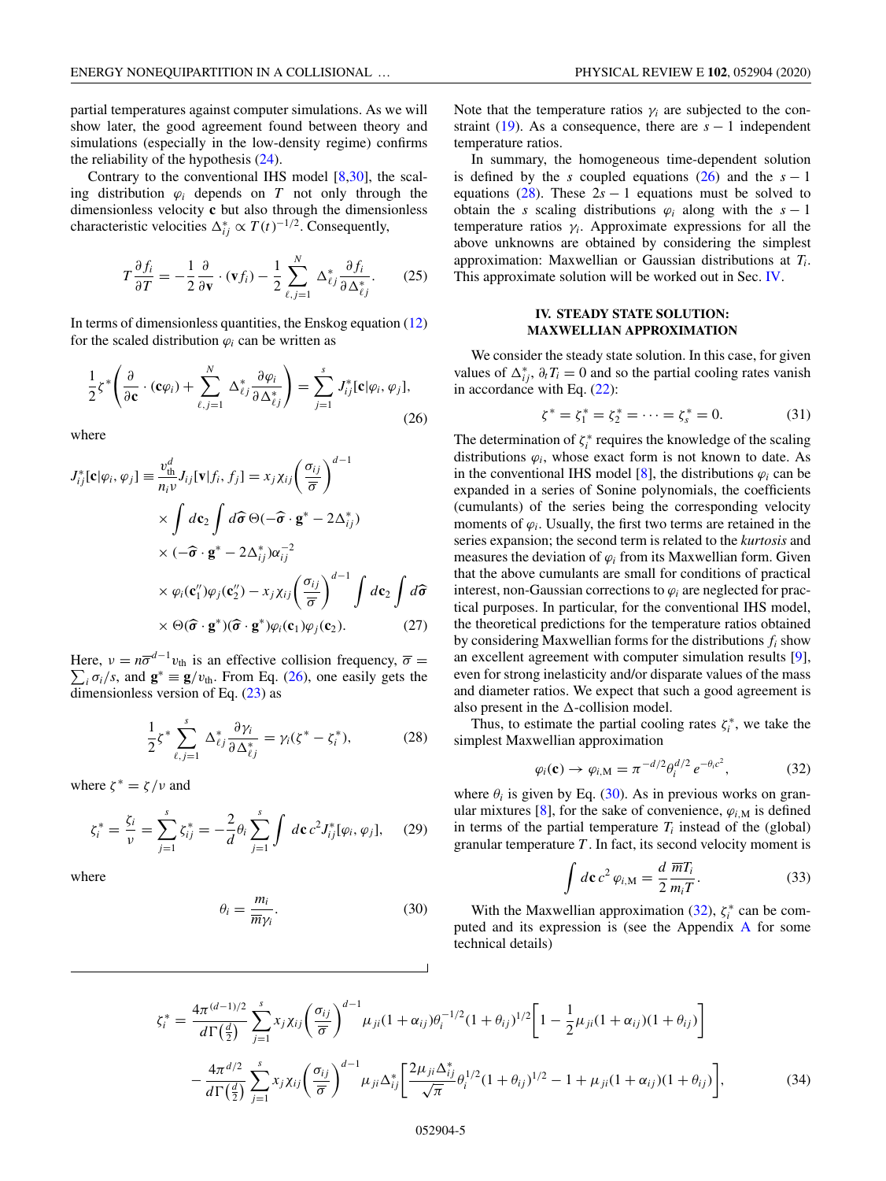<span id="page-4-0"></span>partial temperatures against computer simulations. As we will show later, the good agreement found between theory and simulations (especially in the low-density regime) confirms the reliability of the hypothesis [\(24\)](#page-3-0).

Contrary to the conventional IHS model  $[8,30]$ , the scaling distribution  $\varphi_i$  depends on *T* not only through the dimensionless velocity **c** but also through the dimensionless characteristic velocities  $\Delta_{ij}^* \propto T(t)^{-1/2}$ . Consequently,

$$
T\frac{\partial f_i}{\partial T} = -\frac{1}{2}\frac{\partial}{\partial \mathbf{v}} \cdot (\mathbf{v}f_i) - \frac{1}{2}\sum_{\ell,j=1}^N \Delta_{\ell j}^* \frac{\partial f_i}{\partial \Delta_{\ell j}^*}.
$$
 (25)

In terms of dimensionless quantities, the Enskog equation  $(12)$ for the scaled distribution  $\varphi_i$  can be written as

$$
\frac{1}{2}\zeta^*\left(\frac{\partial}{\partial \mathbf{c}}\cdot(\mathbf{c}\varphi_i)+\sum_{\ell,j=1}^N\Delta_{\ell j}^*\frac{\partial\varphi_i}{\partial \Delta_{\ell j}^*}\right)=\sum_{j=1}^sJ_{ij}^*[\mathbf{c}|\varphi_i,\varphi_j],\tag{26}
$$

where

$$
J_{ij}^{*}[\mathbf{c}|\varphi_{i},\varphi_{j}] \equiv \frac{v_{\text{th}}^{d}}{n_{i}v} J_{ij}[\mathbf{v}|f_{i},f_{j}] = x_{j}\chi_{ij} \left(\frac{\sigma_{ij}}{\overline{\sigma}}\right)^{d-1} \times \int d\mathbf{c}_{2} \int d\widehat{\sigma} \Theta(-\widehat{\sigma} \cdot \mathbf{g}^{*} - 2\Delta_{ij}^{*}) \times (-\widehat{\sigma} \cdot \mathbf{g}^{*} - 2\Delta_{ij}^{*})\alpha_{ij}^{-2} \times \varphi_{i}(\mathbf{c}_{1}^{"})\varphi_{j}(\mathbf{c}_{2}^{"}) - x_{j}\chi_{ij} \left(\frac{\sigma_{ij}}{\overline{\sigma}}\right)^{d-1} \int d\mathbf{c}_{2} \int d\widehat{\sigma} \times \Theta(\widehat{\sigma} \cdot \mathbf{g}^{*})(\widehat{\sigma} \cdot \mathbf{g}^{*})\varphi_{i}(\mathbf{c}_{1})\varphi_{j}(\mathbf{c}_{2}). \tag{27}
$$

Here,  $v = n\overline{\sigma}^{d-1}v_{\text{th}}$  is an effective collision frequency,  $\overline{\sigma} =$  $\sum_i \sigma_i/s$ , and  $\mathbf{g}^* \equiv \mathbf{g}/v_{\text{th}}$ . From Eq. (26), one easily gets the dimensionless version of Eq.  $(23)$  as

$$
\frac{1}{2}\zeta^* \sum_{\ell,j=1}^s \Delta_{\ell j}^* \frac{\partial \gamma_i}{\partial \Delta_{\ell j}^*} = \gamma_i (\zeta^* - \zeta_i^*), \tag{28}
$$

where  $\zeta^* = \zeta/\nu$  and

$$
\zeta_i^* = \frac{\zeta_i}{\nu} = \sum_{j=1}^s \zeta_{ij}^* = -\frac{2}{d} \theta_i \sum_{j=1}^s \int d\mathbf{c} \, c^2 J_{ij}^* [\varphi_i, \varphi_j], \quad (29)
$$

where

$$
\theta_i = \frac{m_i}{\overline{m}\gamma_i}.\tag{30}
$$

Note that the temperature ratios  $\gamma_i$  are subjected to the con-straint [\(19\)](#page-3-0). As a consequence, there are  $s - 1$  independent temperature ratios.

In summary, the homogeneous time-dependent solution is defined by the *s* coupled equations (26) and the  $s - 1$ equations (28). These  $2s - 1$  equations must be solved to obtain the *s* scaling distributions  $\varphi_i$  along with the  $s - 1$ temperature ratios  $\gamma_i$ . Approximate expressions for all the above unknowns are obtained by considering the simplest approximation: Maxwellian or Gaussian distributions at *Ti*. This approximate solution will be worked out in Sec. IV.

# **IV. STEADY STATE SOLUTION: MAXWELLIAN APPROXIMATION**

We consider the steady state solution. In this case, for given values of  $\Delta_{ij}^*$ ,  $\partial_t T_i = 0$  and so the partial cooling rates vanish in accordance with Eq.  $(22)$ :

$$
\zeta^* = \zeta_1^* = \zeta_2^* = \dots = \zeta_s^* = 0. \tag{31}
$$

The determination of  $\zeta_i^*$  requires the knowledge of the scaling distributions  $\varphi_i$ , whose exact form is not known to date. As in the conventional IHS model [\[8\]](#page-12-0), the distributions  $\varphi_i$  can be expanded in a series of Sonine polynomials, the coefficients (cumulants) of the series being the corresponding velocity moments of  $\varphi_i$ . Usually, the first two terms are retained in the series expansion; the second term is related to the *kurtosis* and measures the deviation of  $\varphi_i$  from its Maxwellian form. Given that the above cumulants are small for conditions of practical interest, non-Gaussian corrections to  $\varphi_i$  are neglected for practical purposes. In particular, for the conventional IHS model, the theoretical predictions for the temperature ratios obtained by considering Maxwellian forms for the distributions *fi* show an excellent agreement with computer simulation results [\[9\]](#page-12-0), even for strong inelasticity and/or disparate values of the mass and diameter ratios. We expect that such a good agreement is also present in the  $\Delta$ -collision model.

Thus, to estimate the partial cooling rates  $\zeta_i^*$ , we take the simplest Maxwellian approximation

$$
\varphi_i(\mathbf{c}) \to \varphi_{i,M} = \pi^{-d/2} \theta_i^{d/2} e^{-\theta_i c^2}, \tag{32}
$$

where  $\theta_i$  is given by Eq. (30). As in previous works on gran-ular mixtures [\[8\]](#page-12-0), for the sake of convenience,  $\varphi_{i,M}$  is defined in terms of the partial temperature  $T_i$  instead of the (global) granular temperature *T* . In fact, its second velocity moment is

$$
\int d\mathbf{c} c^2 \varphi_{i,M} = \frac{d}{2} \frac{\overline{m} T_i}{m_i T}.
$$
\n(33)

With the Maxwellian approximation  $(32)$ ,  $\zeta_i^*$  can be computed and its expression is (see the Appendix [A](#page-11-0) for some technical details)

$$
\zeta_i^* = \frac{4\pi^{(d-1)/2}}{d\Gamma(\frac{d}{2})} \sum_{j=1}^s x_j \chi_{ij} \left(\frac{\sigma_{ij}}{\overline{\sigma}}\right)^{d-1} \mu_{ji} (1+\alpha_{ij}) \theta_i^{-1/2} (1+\theta_{ij})^{1/2} \left[1 - \frac{1}{2} \mu_{ji} (1+\alpha_{ij}) (1+\theta_{ij})\right]
$$

$$
- \frac{4\pi^{d/2}}{d\Gamma(\frac{d}{2})} \sum_{j=1}^s x_j \chi_{ij} \left(\frac{\sigma_{ij}}{\overline{\sigma}}\right)^{d-1} \mu_{ji} \Delta_{ij}^* \left[\frac{2\mu_{ji} \Delta_{ij}^*}{\sqrt{\pi}} \theta_i^{1/2} (1+\theta_{ij})^{1/2} - 1 + \mu_{ji} (1+\alpha_{ij}) (1+\theta_{ij})\right],\tag{34}
$$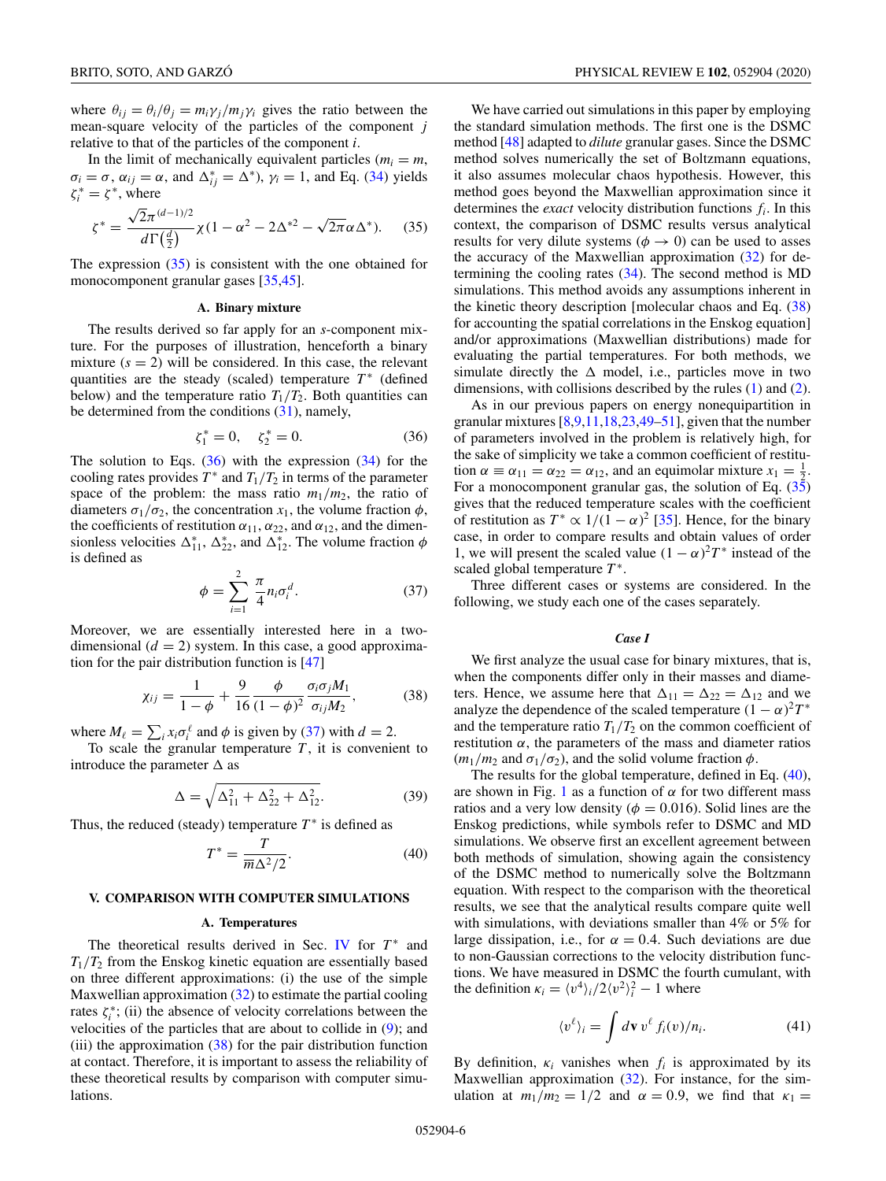<span id="page-5-0"></span>where  $\theta_{ij} = \theta_i/\theta_j = m_i \gamma_j/m_j \gamma_i$  gives the ratio between the mean-square velocity of the particles of the component *j* relative to that of the particles of the component *i*.

In the limit of mechanically equivalent particles ( $m_i = m$ ,  $\sigma_i = \sigma$ ,  $\alpha_{ij} = \alpha$ , and  $\Delta_{ij}^* = \Delta^*$ ),  $\gamma_i = 1$ , and Eq. [\(34\)](#page-4-0) yields  $\zeta_i^* = \zeta^*$ , where

$$
\zeta^* = \frac{\sqrt{2}\pi^{(d-1)/2}}{d\Gamma(\frac{d}{2})}\chi(1 - \alpha^2 - 2\Delta^{*2} - \sqrt{2\pi}\alpha\Delta^*). \tag{35}
$$

The expression (35) is consistent with the one obtained for monocomponent granular gases [\[35,45\]](#page-13-0).

#### **A. Binary mixture**

The results derived so far apply for an *s*-component mixture. For the purposes of illustration, henceforth a binary mixture  $(s = 2)$  will be considered. In this case, the relevant quantities are the steady (scaled) temperature  $T^*$  (defined below) and the temperature ratio  $T_1/T_2$ . Both quantities can be determined from the conditions [\(31\)](#page-4-0), namely,

$$
\zeta_1^* = 0, \quad \zeta_2^* = 0. \tag{36}
$$

The solution to Eqs.  $(36)$  with the expression  $(34)$  for the cooling rates provides  $T^*$  and  $T_1/T_2$  in terms of the parameter space of the problem: the mass ratio  $m_1/m_2$ , the ratio of diameters  $\sigma_1/\sigma_2$ , the concentration  $x_1$ , the volume fraction  $\phi$ , the coefficients of restitution  $\alpha_{11}$ ,  $\alpha_{22}$ , and  $\alpha_{12}$ , and the dimensionless velocities  $\Delta_{11}^*$ ,  $\Delta_{22}^*$ , and  $\Delta_{12}^*$ . The volume fraction  $\phi$ is defined as

$$
\phi = \sum_{i=1}^{2} \frac{\pi}{4} n_i \sigma_i^d.
$$
 (37)

Moreover, we are essentially interested here in a twodimensional  $(d = 2)$  system. In this case, a good approximation for the pair distribution function is [\[47\]](#page-13-0)

$$
\chi_{ij} = \frac{1}{1 - \phi} + \frac{9}{16} \frac{\phi}{(1 - \phi)^2} \frac{\sigma_i \sigma_j M_1}{\sigma_{ij} M_2},
$$
(38)

where  $M_{\ell} = \sum_{i} x_i \sigma_i^{\ell}$  and  $\phi$  is given by (37) with  $d = 2$ .

To scale the granular temperature  $T$ , it is convenient to introduce the parameter  $\Delta$  as

$$
\Delta = \sqrt{\Delta_{11}^2 + \Delta_{22}^2 + \Delta_{12}^2}.
$$
 (39)

Thus, the reduced (steady) temperature  $T^*$  is defined as

$$
T^* = \frac{T}{\overline{m}\Delta^2/2}.
$$
 (40)

## **V. COMPARISON WITH COMPUTER SIMULATIONS**

#### **A. Temperatures**

The theoretical results derived in Sec. [IV](#page-4-0) for  $T^*$  and  $T_1/T_2$  from the Enskog kinetic equation are essentially based on three different approximations: (i) the use of the simple Maxwellian approximation  $(32)$  to estimate the partial cooling rates  $\zeta_i^*$ ; (ii) the absence of velocity correlations between the velocities of the particles that are about to collide in  $(9)$ ; and (iii) the approximation  $(38)$  for the pair distribution function at contact. Therefore, it is important to assess the reliability of these theoretical results by comparison with computer simulations.

We have carried out simulations in this paper by employing the standard simulation methods. The first one is the DSMC method [\[48\]](#page-13-0) adapted to *dilute* granular gases. Since the DSMC method solves numerically the set of Boltzmann equations, it also assumes molecular chaos hypothesis. However, this method goes beyond the Maxwellian approximation since it determines the *exact* velocity distribution functions *fi*. In this context, the comparison of DSMC results versus analytical results for very dilute systems ( $\phi \rightarrow 0$ ) can be used to asses the accuracy of the Maxwellian approximation  $(32)$  for determining the cooling rates  $(34)$ . The second method is MD simulations. This method avoids any assumptions inherent in the kinetic theory description [molecular chaos and Eq. (38) for accounting the spatial correlations in the Enskog equation] and/or approximations (Maxwellian distributions) made for evaluating the partial temperatures. For both methods, we simulate directly the  $\Delta$  model, i.e., particles move in two dimensions, with collisions described by the rules [\(1\)](#page-2-0) and [\(2\)](#page-2-0).

As in our previous papers on energy nonequipartition in granular mixtures  $[8,9,11,18,23,49-51]$  $[8,9,11,18,23,49-51]$ , given that the number of parameters involved in the problem is relatively high, for the sake of simplicity we take a common coefficient of restitution  $\alpha \equiv \alpha_{11} = \alpha_{22} = \alpha_{12}$ , and an equimolar mixture  $x_1 = \frac{1}{2}$ . For a monocomponent granular gas, the solution of Eq.  $(35)$ gives that the reduced temperature scales with the coefficient of restitution as  $T^* \propto 1/(1-\alpha)^2$  [\[35\]](#page-13-0). Hence, for the binary case, in order to compare results and obtain values of order 1, we will present the scaled value  $(1 - \alpha)^2 T^*$  instead of the scaled global temperature *T* <sup>∗</sup>.

Three different cases or systems are considered. In the following, we study each one of the cases separately.

# *Case I*

We first analyze the usual case for binary mixtures, that is, when the components differ only in their masses and diameters. Hence, we assume here that  $\Delta_{11} = \Delta_{22} = \Delta_{12}$  and we analyze the dependence of the scaled temperature  $(1 - \alpha)^2 T^*$ and the temperature ratio  $T_1/T_2$  on the common coefficient of restitution  $\alpha$ , the parameters of the mass and diameter ratios  $(m_1/m_2 \text{ and } \sigma_1/\sigma_2)$ , and the solid volume fraction  $\phi$ .

The results for the global temperature, defined in Eq.  $(40)$ , are shown in Fig. [1](#page-6-0) as a function of  $\alpha$  for two different mass ratios and a very low density ( $\phi = 0.016$ ). Solid lines are the Enskog predictions, while symbols refer to DSMC and MD simulations. We observe first an excellent agreement between both methods of simulation, showing again the consistency of the DSMC method to numerically solve the Boltzmann equation. With respect to the comparison with the theoretical results, we see that the analytical results compare quite well with simulations, with deviations smaller than 4% or 5% for large dissipation, i.e., for  $\alpha = 0.4$ . Such deviations are due to non-Gaussian corrections to the velocity distribution functions. We have measured in DSMC the fourth cumulant, with the definition  $\kappa_i = \langle v^4 \rangle_i / 2 \langle v^2 \rangle_i^2 - 1$  where

$$
\langle v^{\ell} \rangle_i = \int d\mathbf{v} \, v^{\ell} \, f_i(v) / n_i. \tag{41}
$$

By definition,  $\kappa_i$  vanishes when  $f_i$  is approximated by its Maxwellian approximation [\(32\)](#page-4-0). For instance, for the simulation at  $m_1/m_2 = 1/2$  and  $\alpha = 0.9$ , we find that  $\kappa_1 =$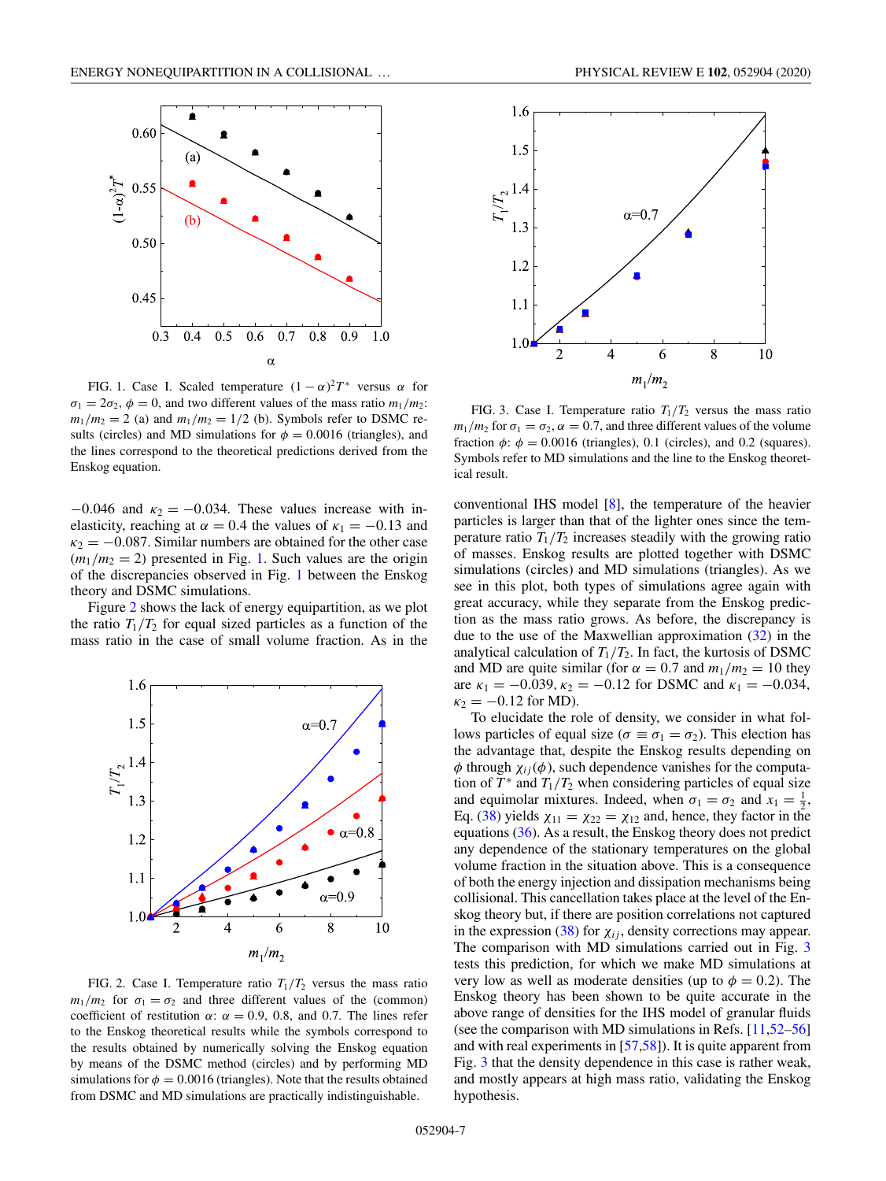<span id="page-6-0"></span>

FIG. 1. Case I. Scaled temperature  $(1 - \alpha)^2 T^*$  versus  $\alpha$  for  $\sigma_1 = 2\sigma_2$ ,  $\phi = 0$ , and two different values of the mass ratio  $m_1/m_2$ :  $m_1/m_2 = 2$  (a) and  $m_1/m_2 = 1/2$  (b). Symbols refer to DSMC results (circles) and MD simulations for  $\phi = 0.0016$  (triangles), and the lines correspond to the theoretical predictions derived from the Enskog equation.

 $-0.046$  and  $\kappa_2 = -0.034$ . These values increase with inelasticity, reaching at  $\alpha = 0.4$  the values of  $\kappa_1 = -0.13$  and  $\kappa_2 = -0.087$ . Similar numbers are obtained for the other case  $(m_1/m_2 = 2)$  presented in Fig. 1. Such values are the origin of the discrepancies observed in Fig. 1 between the Enskog theory and DSMC simulations.

Figure 2 shows the lack of energy equipartition, as we plot the ratio  $T_1/T_2$  for equal sized particles as a function of the mass ratio in the case of small volume fraction. As in the



FIG. 2. Case I. Temperature ratio  $T_1/T_2$  versus the mass ratio  $m_1/m_2$  for  $\sigma_1 = \sigma_2$  and three different values of the (common) coefficient of restitution  $\alpha$ :  $\alpha = 0.9, 0.8,$  and 0.7. The lines refer to the Enskog theoretical results while the symbols correspond to the results obtained by numerically solving the Enskog equation by means of the DSMC method (circles) and by performing MD simulations for  $\phi = 0.0016$  (triangles). Note that the results obtained from DSMC and MD simulations are practically indistinguishable.





FIG. 3. Case I. Temperature ratio  $T_1/T_2$  versus the mass ratio  $m_1/m_2$  for  $\sigma_1 = \sigma_2$ ,  $\alpha = 0.7$ , and three different values of the volume fraction  $\phi$ :  $\phi = 0.0016$  (triangles), 0.1 (circles), and 0.2 (squares). Symbols refer to MD simulations and the line to the Enskog theoretical result.

conventional IHS model [\[8\]](#page-12-0), the temperature of the heavier particles is larger than that of the lighter ones since the temperature ratio  $T_1/T_2$  increases steadily with the growing ratio of masses. Enskog results are plotted together with DSMC simulations (circles) and MD simulations (triangles). As we see in this plot, both types of simulations agree again with great accuracy, while they separate from the Enskog prediction as the mass ratio grows. As before, the discrepancy is due to the use of the Maxwellian approximation [\(32\)](#page-4-0) in the analytical calculation of  $T_1/T_2$ . In fact, the kurtosis of DSMC and MD are quite similar (for  $\alpha = 0.7$  and  $m_1/m_2 = 10$  they are  $\kappa_1 = -0.039$ ,  $\kappa_2 = -0.12$  for DSMC and  $\kappa_1 = -0.034$ ,  $\kappa_2 = -0.12$  for MD).

To elucidate the role of density, we consider in what follows particles of equal size ( $\sigma \equiv \sigma_1 = \sigma_2$ ). This election has the advantage that, despite the Enskog results depending on  $\phi$  through  $\chi_{ij}(\phi)$ , such dependence vanishes for the computation of  $T^*$  and  $T_1/T_2$  when considering particles of equal size and equimolar mixtures. Indeed, when  $\sigma_1 = \sigma_2$  and  $x_1 = \frac{1}{2}$ , Eq. [\(38\)](#page-5-0) yields  $\chi_{11} = \chi_{22} = \chi_{12}$  and, hence, they factor in the equations [\(36\)](#page-5-0). As a result, the Enskog theory does not predict any dependence of the stationary temperatures on the global volume fraction in the situation above. This is a consequence of both the energy injection and dissipation mechanisms being collisional. This cancellation takes place at the level of the Enskog theory but, if there are position correlations not captured in the expression [\(38\)](#page-5-0) for  $\chi_{ij}$ , density corrections may appear. The comparison with MD simulations carried out in Fig. 3 tests this prediction, for which we make MD simulations at very low as well as moderate densities (up to  $\phi = 0.2$ ). The Enskog theory has been shown to be quite accurate in the above range of densities for the IHS model of granular fluids (see the comparison with MD simulations in Refs. [\[11](#page-12-0)[,52–56\]](#page-13-0) and with real experiments in [\[57,58\]](#page-13-0)). It is quite apparent from Fig. 3 that the density dependence in this case is rather weak, and mostly appears at high mass ratio, validating the Enskog hypothesis.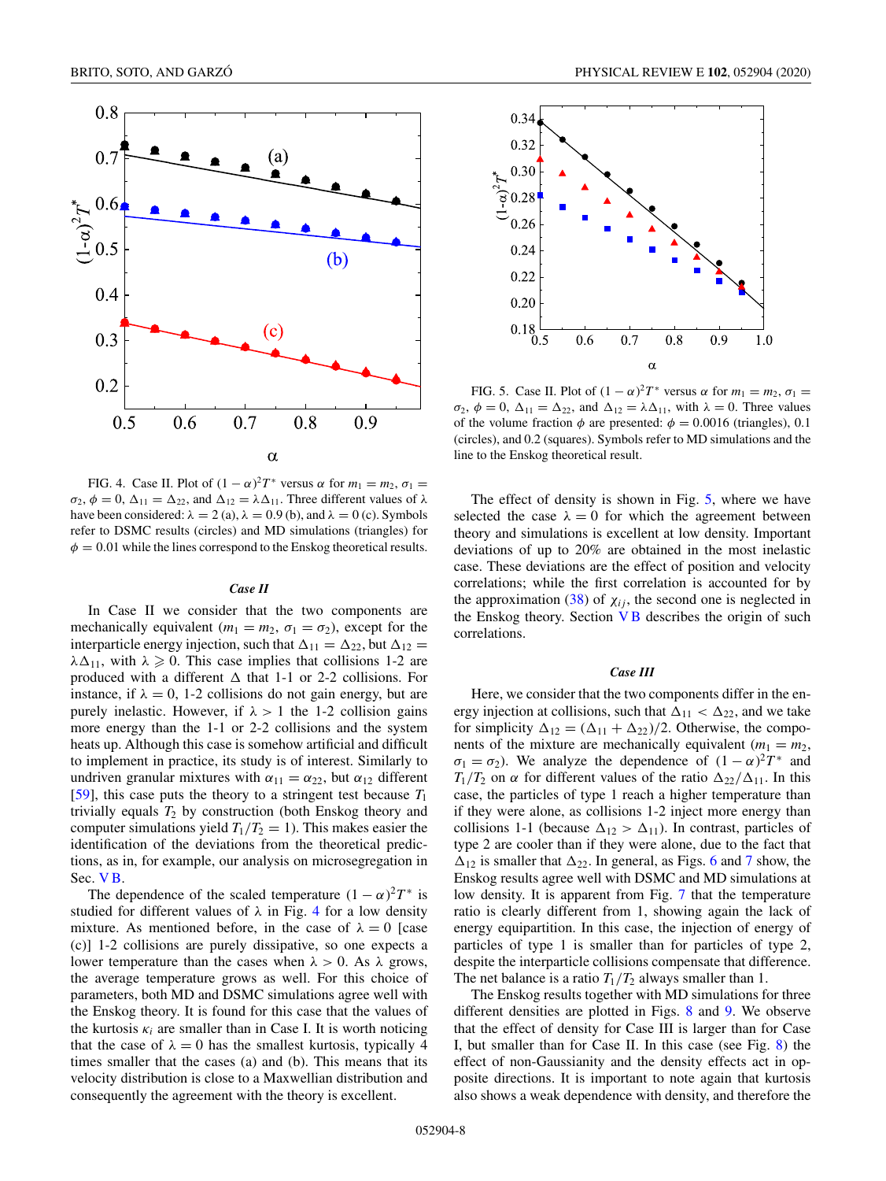<span id="page-7-0"></span>

FIG. 4. Case II. Plot of  $(1 - \alpha)^2 T^*$  versus  $\alpha$  for  $m_1 = m_2$ ,  $\sigma_1 =$  $\sigma_2$ ,  $\phi = 0$ ,  $\Delta_{11} = \Delta_{22}$ , and  $\Delta_{12} = \lambda \Delta_{11}$ . Three different values of  $\lambda$ have been considered:  $\lambda = 2$  (a),  $\lambda = 0.9$  (b), and  $\lambda = 0$  (c). Symbols refer to DSMC results (circles) and MD simulations (triangles) for  $\phi = 0.01$  while the lines correspond to the Enskog theoretical results.

#### *Case II*

In Case II we consider that the two components are mechanically equivalent ( $m_1 = m_2$ ,  $\sigma_1 = \sigma_2$ ), except for the interparticle energy injection, such that  $\Delta_{11} = \Delta_{22}$ , but  $\Delta_{12} =$  $\lambda \Delta_{11}$ , with  $\lambda \geqslant 0$ . This case implies that collisions 1-2 are produced with a different  $\Delta$  that 1-1 or 2-2 collisions. For instance, if  $\lambda = 0$ , 1-2 collisions do not gain energy, but are purely inelastic. However, if  $\lambda > 1$  the 1-2 collision gains more energy than the 1-1 or 2-2 collisions and the system heats up. Although this case is somehow artificial and difficult to implement in practice, its study is of interest. Similarly to undriven granular mixtures with  $\alpha_{11} = \alpha_{22}$ , but  $\alpha_{12}$  different [\[59\]](#page-13-0), this case puts the theory to a stringent test because  $T_1$ trivially equals  $T_2$  by construction (both Enskog theory and computer simulations yield  $T_1/T_2 = 1$ ). This makes easier the identification of the deviations from the theoretical predictions, as in, for example, our analysis on microsegregation in Sec. [V B.](#page-8-0)

The dependence of the scaled temperature  $(1 - \alpha)^2 T^*$  is studied for different values of  $\lambda$  in Fig. 4 for a low density mixture. As mentioned before, in the case of  $\lambda = 0$  [case (c)] 1-2 collisions are purely dissipative, so one expects a lower temperature than the cases when  $\lambda > 0$ . As  $\lambda$  grows, the average temperature grows as well. For this choice of parameters, both MD and DSMC simulations agree well with the Enskog theory. It is found for this case that the values of the kurtosis  $\kappa_i$  are smaller than in Case I. It is worth noticing that the case of  $\lambda = 0$  has the smallest kurtosis, typically 4 times smaller that the cases (a) and (b). This means that its velocity distribution is close to a Maxwellian distribution and consequently the agreement with the theory is excellent.



FIG. 5. Case II. Plot of  $(1 - \alpha)^2 T^*$  versus  $\alpha$  for  $m_1 = m_2$ ,  $\sigma_1 =$  $\sigma_2$ ,  $\phi = 0$ ,  $\Delta_{11} = \Delta_{22}$ , and  $\Delta_{12} = \lambda \Delta_{11}$ , with  $\lambda = 0$ . Three values of the volume fraction  $\phi$  are presented:  $\phi = 0.0016$  (triangles), 0.1 (circles), and 0.2 (squares). Symbols refer to MD simulations and the line to the Enskog theoretical result.

The effect of density is shown in Fig. 5, where we have selected the case  $\lambda = 0$  for which the agreement between theory and simulations is excellent at low density. Important deviations of up to 20% are obtained in the most inelastic case. These deviations are the effect of position and velocity correlations; while the first correlation is accounted for by the approximation [\(38\)](#page-5-0) of  $\chi_{ij}$ , the second one is neglected in the Enskog theory. Section  $\nabla$  B describes the origin of such correlations.

### *Case III*

Here, we consider that the two components differ in the energy injection at collisions, such that  $\Delta_{11} < \Delta_{22}$ , and we take for simplicity  $\Delta_{12} = (\Delta_{11} + \Delta_{22})/2$ . Otherwise, the components of the mixture are mechanically equivalent ( $m_1 = m_2$ ,  $\sigma_1 = \sigma_2$ ). We analyze the dependence of  $(1 - \alpha)^2 T^*$  and  $T_1/T_2$  on  $\alpha$  for different values of the ratio  $\Delta_{22}/\Delta_{11}$ . In this case, the particles of type 1 reach a higher temperature than if they were alone, as collisions 1-2 inject more energy than collisions 1-1 (because  $\Delta_{12} > \Delta_{11}$ ). In contrast, particles of type 2 are cooler than if they were alone, due to the fact that  $\Delta_{12}$  is smaller that  $\Delta_{22}$ . In general, as Figs. [6](#page-8-0) and [7](#page-8-0) show, the Enskog results agree well with DSMC and MD simulations at low density. It is apparent from Fig. [7](#page-8-0) that the temperature ratio is clearly different from 1, showing again the lack of energy equipartition. In this case, the injection of energy of particles of type 1 is smaller than for particles of type 2, despite the interparticle collisions compensate that difference. The net balance is a ratio  $T_1/T_2$  always smaller than 1.

The Enskog results together with MD simulations for three different densities are plotted in Figs. [8](#page-8-0) and [9.](#page-8-0) We observe that the effect of density for Case III is larger than for Case I, but smaller than for Case II. In this case (see Fig. [8\)](#page-8-0) the effect of non-Gaussianity and the density effects act in opposite directions. It is important to note again that kurtosis also shows a weak dependence with density, and therefore the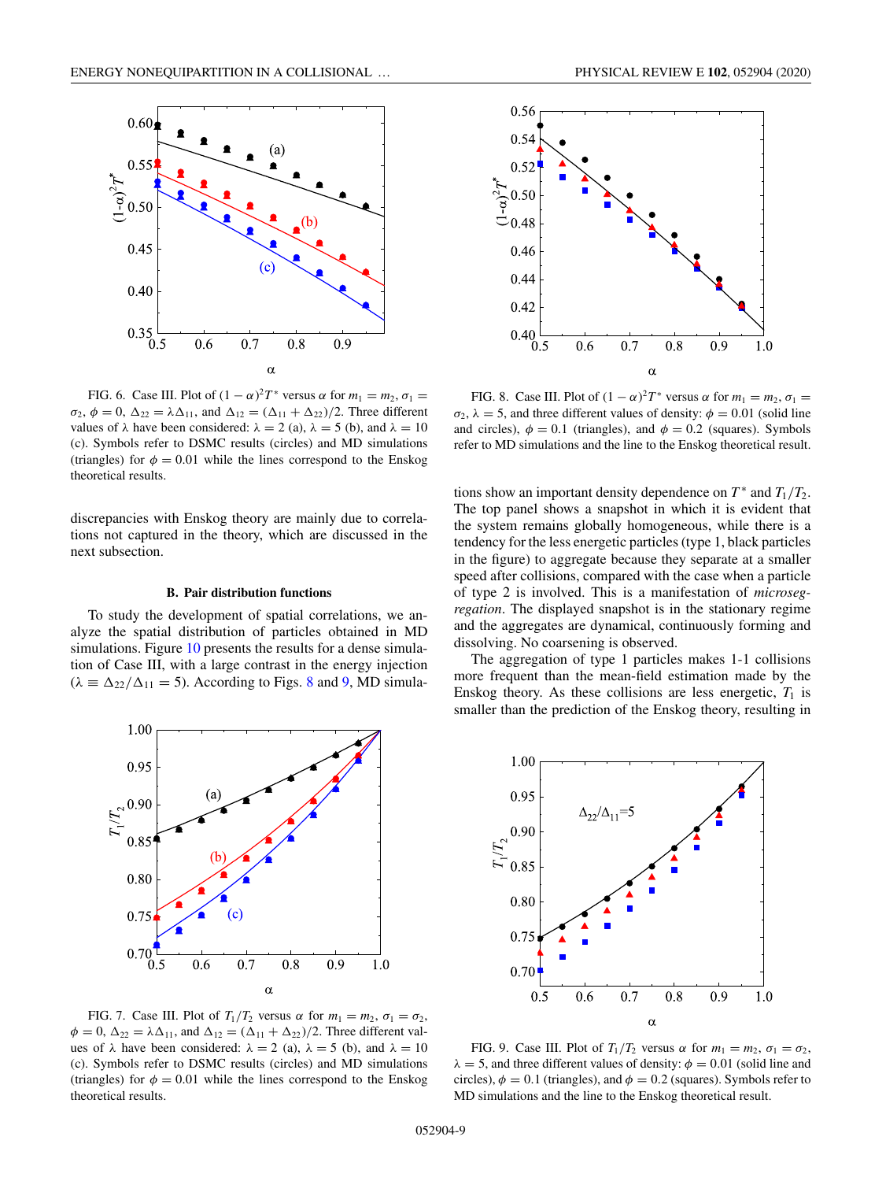<span id="page-8-0"></span>

FIG. 6. Case III. Plot of  $(1 - \alpha)^2 T^*$  versus  $\alpha$  for  $m_1 = m_2, \sigma_1 =$  $\sigma_2$ ,  $\phi = 0$ ,  $\Delta_{22} = \lambda \Delta_{11}$ , and  $\Delta_{12} = (\Delta_{11} + \Delta_{22})/2$ . Three different values of  $\lambda$  have been considered:  $\lambda = 2$  (a),  $\lambda = 5$  (b), and  $\lambda = 10$ (c). Symbols refer to DSMC results (circles) and MD simulations (triangles) for  $\phi = 0.01$  while the lines correspond to the Enskog theoretical results.

discrepancies with Enskog theory are mainly due to correlations not captured in the theory, which are discussed in the next subsection.

# **B. Pair distribution functions**

To study the development of spatial correlations, we analyze the spatial distribution of particles obtained in MD simulations. Figure [10](#page-9-0) presents the results for a dense simulation of Case III, with a large contrast in the energy injection  $(\lambda \equiv \Delta_{22}/\Delta_{11} = 5)$ . According to Figs. 8 and 9, MD simula-



FIG. 7. Case III. Plot of  $T_1/T_2$  versus  $\alpha$  for  $m_1 = m_2$ ,  $\sigma_1 = \sigma_2$ ,  $\phi = 0$ ,  $\Delta_{22} = \lambda \Delta_{11}$ , and  $\Delta_{12} = (\Delta_{11} + \Delta_{22})/2$ . Three different values of  $\lambda$  have been considered:  $\lambda = 2$  (a),  $\lambda = 5$  (b), and  $\lambda = 10$ (c). Symbols refer to DSMC results (circles) and MD simulations (triangles) for  $\phi = 0.01$  while the lines correspond to the Enskog theoretical results.



FIG. 8. Case III. Plot of  $(1 - \alpha)^2 T^*$  versus  $\alpha$  for  $m_1 = m_2, \sigma_1 =$  $\sigma_2$ ,  $\lambda = 5$ , and three different values of density:  $\phi = 0.01$  (solid line and circles),  $\phi = 0.1$  (triangles), and  $\phi = 0.2$  (squares). Symbols refer to MD simulations and the line to the Enskog theoretical result.

tions show an important density dependence on  $T^*$  and  $T_1/T_2$ . The top panel shows a snapshot in which it is evident that the system remains globally homogeneous, while there is a tendency for the less energetic particles (type 1, black particles in the figure) to aggregate because they separate at a smaller speed after collisions, compared with the case when a particle of type 2 is involved. This is a manifestation of *microsegregation*. The displayed snapshot is in the stationary regime and the aggregates are dynamical, continuously forming and dissolving. No coarsening is observed.

The aggregation of type 1 particles makes 1-1 collisions more frequent than the mean-field estimation made by the Enskog theory. As these collisions are less energetic,  $T_1$  is smaller than the prediction of the Enskog theory, resulting in



FIG. 9. Case III. Plot of  $T_1/T_2$  versus  $\alpha$  for  $m_1 = m_2$ ,  $\sigma_1 = \sigma_2$ ,  $\lambda = 5$ , and three different values of density:  $\phi = 0.01$  (solid line and circles),  $\phi = 0.1$  (triangles), and  $\phi = 0.2$  (squares). Symbols refer to MD simulations and the line to the Enskog theoretical result.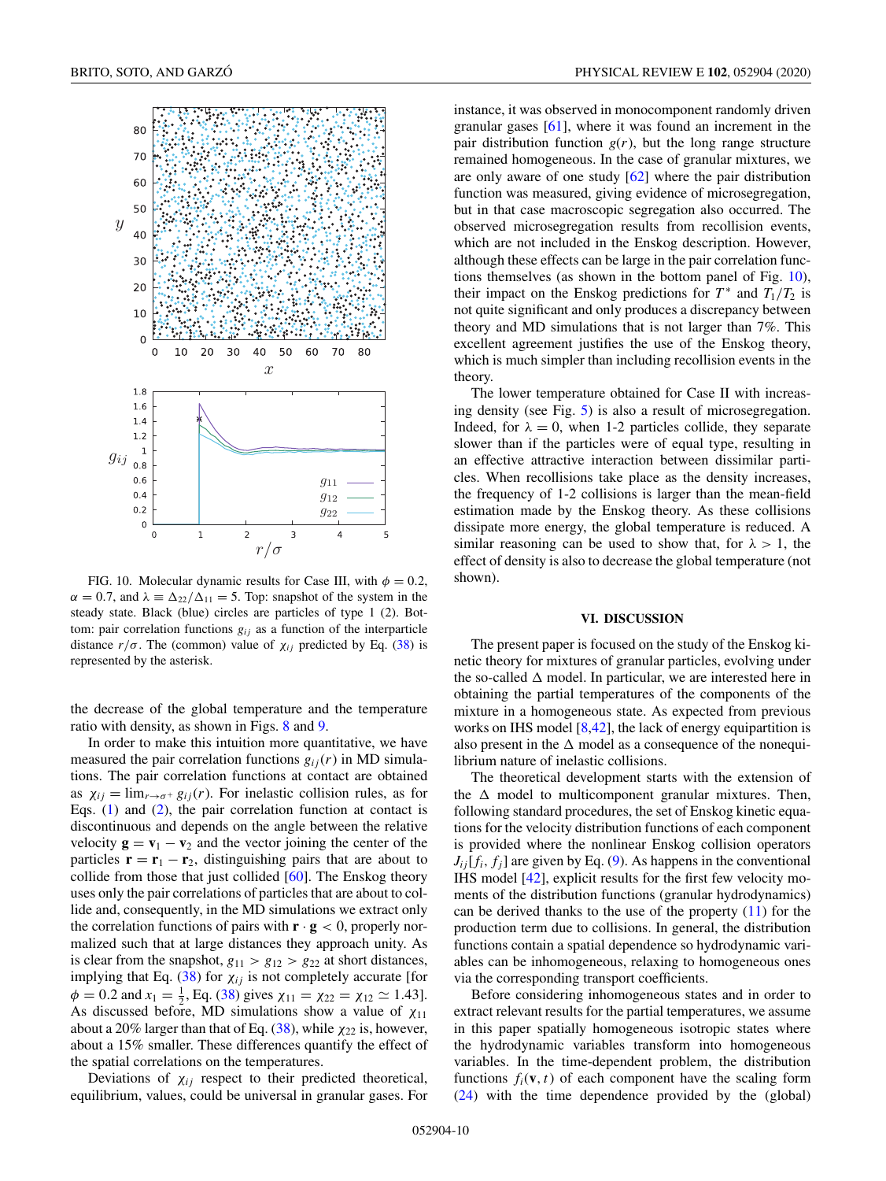<span id="page-9-0"></span>

FIG. 10. Molecular dynamic results for Case III, with  $\phi = 0.2$ ,  $\alpha = 0.7$ , and  $\lambda = \Delta_{22}/\Delta_{11} = 5$ . Top: snapshot of the system in the steady state. Black (blue) circles are particles of type 1 (2). Bottom: pair correlation functions  $g_{ij}$  as a function of the interparticle distance  $r/\sigma$ . The (common) value of  $\chi_{ij}$  predicted by Eq. [\(38\)](#page-5-0) is represented by the asterisk.

the decrease of the global temperature and the temperature ratio with density, as shown in Figs. [8](#page-8-0) and [9.](#page-8-0)

In order to make this intuition more quantitative, we have measured the pair correlation functions  $g_{ij}(r)$  in MD simulations. The pair correlation functions at contact are obtained as  $\chi_{ij} = \lim_{r \to \sigma^+} g_{ij}(r)$ . For inelastic collision rules, as for Eqs.  $(1)$  and  $(2)$ , the pair correlation function at contact is discontinuous and depends on the angle between the relative velocity  $\mathbf{g} = \mathbf{v}_1 - \mathbf{v}_2$  and the vector joining the center of the particles  $\mathbf{r} = \mathbf{r}_1 - \mathbf{r}_2$ , distinguishing pairs that are about to collide from those that just collided [\[60\]](#page-13-0). The Enskog theory uses only the pair correlations of particles that are about to collide and, consequently, in the MD simulations we extract only the correlation functions of pairs with  $\mathbf{r} \cdot \mathbf{g} < 0$ , properly normalized such that at large distances they approach unity. As is clear from the snapshot,  $g_{11} > g_{12} > g_{22}$  at short distances, implying that Eq. [\(38\)](#page-5-0) for  $\chi_{ij}$  is not completely accurate [for  $\phi = 0.2$  and  $x_1 = \frac{1}{2}$ , Eq. [\(38\)](#page-5-0) gives  $\chi_{11} = \chi_{22} = \chi_{12} \approx 1.43$ . As discussed before, MD simulations show a value of  $\chi_{11}$ about a 20% larger than that of Eq.  $(38)$ , while  $\chi_{22}$  is, however, about a 15% smaller. These differences quantify the effect of the spatial correlations on the temperatures.

Deviations of  $\chi_{ij}$  respect to their predicted theoretical, equilibrium, values, could be universal in granular gases. For

instance, it was observed in monocomponent randomly driven granular gases [\[61\]](#page-13-0), where it was found an increment in the pair distribution function  $g(r)$ , but the long range structure remained homogeneous. In the case of granular mixtures, we are only aware of one study  $[62]$  where the pair distribution function was measured, giving evidence of microsegregation, but in that case macroscopic segregation also occurred. The observed microsegregation results from recollision events, which are not included in the Enskog description. However, although these effects can be large in the pair correlation functions themselves (as shown in the bottom panel of Fig. 10), their impact on the Enskog predictions for  $T^*$  and  $T_1/T_2$  is not quite significant and only produces a discrepancy between theory and MD simulations that is not larger than 7%. This excellent agreement justifies the use of the Enskog theory, which is much simpler than including recollision events in the theory.

The lower temperature obtained for Case II with increasing density (see Fig. [5\)](#page-7-0) is also a result of microsegregation. Indeed, for  $\lambda = 0$ , when 1-2 particles collide, they separate slower than if the particles were of equal type, resulting in an effective attractive interaction between dissimilar particles. When recollisions take place as the density increases, the frequency of 1-2 collisions is larger than the mean-field estimation made by the Enskog theory. As these collisions dissipate more energy, the global temperature is reduced. A similar reasoning can be used to show that, for  $\lambda > 1$ , the effect of density is also to decrease the global temperature (not shown).

# **VI. DISCUSSION**

The present paper is focused on the study of the Enskog kinetic theory for mixtures of granular particles, evolving under the so-called  $\Delta$  model. In particular, we are interested here in obtaining the partial temperatures of the components of the mixture in a homogeneous state. As expected from previous works on IHS model  $[8,42]$  $[8,42]$ , the lack of energy equipartition is also present in the  $\Delta$  model as a consequence of the nonequilibrium nature of inelastic collisions.

The theoretical development starts with the extension of the  $\Delta$  model to multicomponent granular mixtures. Then, following standard procedures, the set of Enskog kinetic equations for the velocity distribution functions of each component is provided where the nonlinear Enskog collision operators  $J_{ij}[f_i, f_j]$  are given by Eq. [\(9\)](#page-8-0). As happens in the conventional IHS model [\[42\]](#page-13-0), explicit results for the first few velocity moments of the distribution functions (granular hydrodynamics) can be derived thanks to the use of the property  $(11)$  for the production term due to collisions. In general, the distribution functions contain a spatial dependence so hydrodynamic variables can be inhomogeneous, relaxing to homogeneous ones via the corresponding transport coefficients.

Before considering inhomogeneous states and in order to extract relevant results for the partial temperatures, we assume in this paper spatially homogeneous isotropic states where the hydrodynamic variables transform into homogeneous variables. In the time-dependent problem, the distribution functions  $f_i(\mathbf{v}, t)$  of each component have the scaling form [\(24\)](#page-3-0) with the time dependence provided by the (global)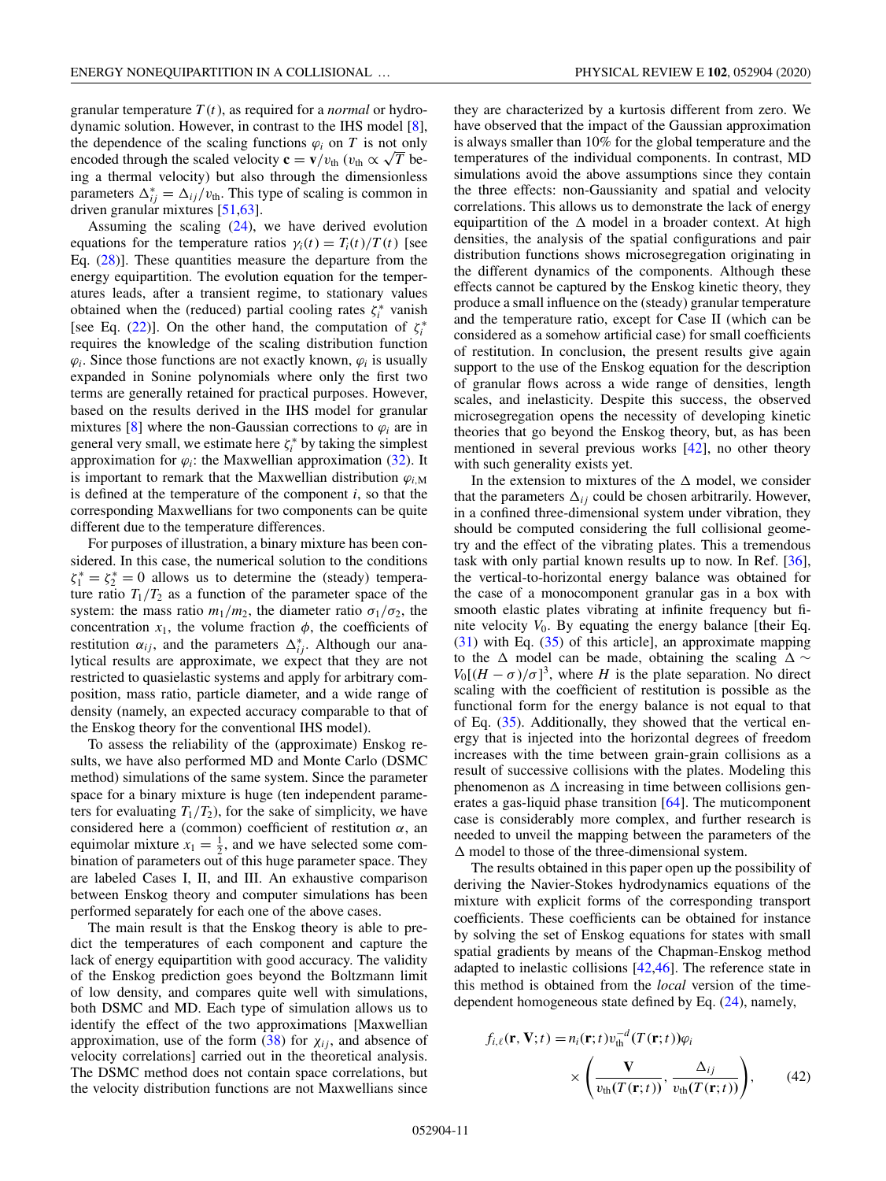granular temperature *T* (*t*), as required for a *normal* or hydrodynamic solution. However, in contrast to the IHS model [\[8\]](#page-12-0), the dependence of the scaling functions  $\varphi_i$  on *T* is not only encoded through the scaled velocity  $\mathbf{c} = \mathbf{v}/v_{\text{th}}$  ( $v_{\text{th}} \propto \sqrt{T}$  being a thermal velocity) but also through the dimensionless parameters  $\Delta_{ij}^* = \Delta_{ij}/v_{\text{th}}$ . This type of scaling is common in driven granular mixtures [\[51,63\]](#page-13-0).

Assuming the scaling  $(24)$ , we have derived evolution equations for the temperature ratios  $\gamma_i(t) = T_i(t)/T(t)$  [see Eq. [\(28\)](#page-4-0)]. These quantities measure the departure from the energy equipartition. The evolution equation for the temperatures leads, after a transient regime, to stationary values obtained when the (reduced) partial cooling rates  $\zeta_i^*$  vanish [see Eq. [\(22\)](#page-3-0)]. On the other hand, the computation of  $\zeta_i^*$ requires the knowledge of the scaling distribution function  $\varphi_i$ . Since those functions are not exactly known,  $\varphi_i$  is usually expanded in Sonine polynomials where only the first two terms are generally retained for practical purposes. However, based on the results derived in the IHS model for granular mixtures [\[8\]](#page-12-0) where the non-Gaussian corrections to  $\varphi_i$  are in general very small, we estimate here  $\zeta_i^*$  by taking the simplest approximation for  $\varphi_i$ : the Maxwellian approximation [\(32\)](#page-4-0). It is important to remark that the Maxwellian distribution  $\varphi_{i,M}$ is defined at the temperature of the component *i*, so that the corresponding Maxwellians for two components can be quite different due to the temperature differences.

For purposes of illustration, a binary mixture has been considered. In this case, the numerical solution to the conditions  $\zeta_1^* = \zeta_2^* = 0$  allows us to determine the (steady) temperature ratio  $T_1/T_2$  as a function of the parameter space of the system: the mass ratio  $m_1/m_2$ , the diameter ratio  $\sigma_1/\sigma_2$ , the concentration  $x_1$ , the volume fraction  $\phi$ , the coefficients of restitution  $\alpha_{ij}$ , and the parameters  $\Delta_{ij}^*$ . Although our analytical results are approximate, we expect that they are not restricted to quasielastic systems and apply for arbitrary composition, mass ratio, particle diameter, and a wide range of density (namely, an expected accuracy comparable to that of the Enskog theory for the conventional IHS model).

To assess the reliability of the (approximate) Enskog results, we have also performed MD and Monte Carlo (DSMC method) simulations of the same system. Since the parameter space for a binary mixture is huge (ten independent parameters for evaluating  $T_1/T_2$ ), for the sake of simplicity, we have considered here a (common) coefficient of restitution  $\alpha$ , an equimolar mixture  $x_1 = \frac{1}{2}$ , and we have selected some combination of parameters out of this huge parameter space. They are labeled Cases I, II, and III. An exhaustive comparison between Enskog theory and computer simulations has been performed separately for each one of the above cases.

The main result is that the Enskog theory is able to predict the temperatures of each component and capture the lack of energy equipartition with good accuracy. The validity of the Enskog prediction goes beyond the Boltzmann limit of low density, and compares quite well with simulations, both DSMC and MD. Each type of simulation allows us to identify the effect of the two approximations [Maxwellian approximation, use of the form  $(38)$  for  $\chi_{ij}$ , and absence of velocity correlations] carried out in the theoretical analysis. The DSMC method does not contain space correlations, but the velocity distribution functions are not Maxwellians since

they are characterized by a kurtosis different from zero. We have observed that the impact of the Gaussian approximation is always smaller than 10% for the global temperature and the temperatures of the individual components. In contrast, MD simulations avoid the above assumptions since they contain the three effects: non-Gaussianity and spatial and velocity correlations. This allows us to demonstrate the lack of energy equipartition of the  $\Delta$  model in a broader context. At high densities, the analysis of the spatial configurations and pair distribution functions shows microsegregation originating in the different dynamics of the components. Although these effects cannot be captured by the Enskog kinetic theory, they produce a small influence on the (steady) granular temperature and the temperature ratio, except for Case II (which can be considered as a somehow artificial case) for small coefficients of restitution. In conclusion, the present results give again support to the use of the Enskog equation for the description of granular flows across a wide range of densities, length scales, and inelasticity. Despite this success, the observed microsegregation opens the necessity of developing kinetic theories that go beyond the Enskog theory, but, as has been mentioned in several previous works [\[42\]](#page-13-0), no other theory with such generality exists yet.

In the extension to mixtures of the  $\Delta$  model, we consider that the parameters  $\Delta_{ij}$  could be chosen arbitrarily. However, in a confined three-dimensional system under vibration, they should be computed considering the full collisional geometry and the effect of the vibrating plates. This a tremendous task with only partial known results up to now. In Ref. [\[36\]](#page-13-0), the vertical-to-horizontal energy balance was obtained for the case of a monocomponent granular gas in a box with smooth elastic plates vibrating at infinite frequency but finite velocity  $V_0$ . By equating the energy balance [their Eq. [\(31\)](#page-4-0) with Eq. [\(35\)](#page-5-0) of this article], an approximate mapping to the  $\Delta$  model can be made, obtaining the scaling  $\Delta \sim$  $V_0[(H - \sigma)/\sigma]^3$ , where *H* is the plate separation. No direct scaling with the coefficient of restitution is possible as the functional form for the energy balance is not equal to that of Eq. [\(35\)](#page-5-0). Additionally, they showed that the vertical energy that is injected into the horizontal degrees of freedom increases with the time between grain-grain collisions as a result of successive collisions with the plates. Modeling this phenomenon as  $\Delta$  increasing in time between collisions generates a gas-liquid phase transition [\[64\]](#page-13-0). The muticomponent case is considerably more complex, and further research is needed to unveil the mapping between the parameters of the  $\Delta$  model to those of the three-dimensional system.

The results obtained in this paper open up the possibility of deriving the Navier-Stokes hydrodynamics equations of the mixture with explicit forms of the corresponding transport coefficients. These coefficients can be obtained for instance by solving the set of Enskog equations for states with small spatial gradients by means of the Chapman-Enskog method adapted to inelastic collisions [\[42,46\]](#page-13-0). The reference state in this method is obtained from the *local* version of the timedependent homogeneous state defined by Eq. [\(24\)](#page-3-0), namely,

$$
f_{i,\ell}(\mathbf{r}, \mathbf{V}; t) = n_i(\mathbf{r}; t) v_{\text{th}}^{-d} (T(\mathbf{r}; t)) \varphi_i
$$

$$
\times \left( \frac{\mathbf{V}}{v_{\text{th}}(T(\mathbf{r}; t))}, \frac{\Delta_{ij}}{v_{\text{th}}(T(\mathbf{r}; t))} \right), \qquad (42)
$$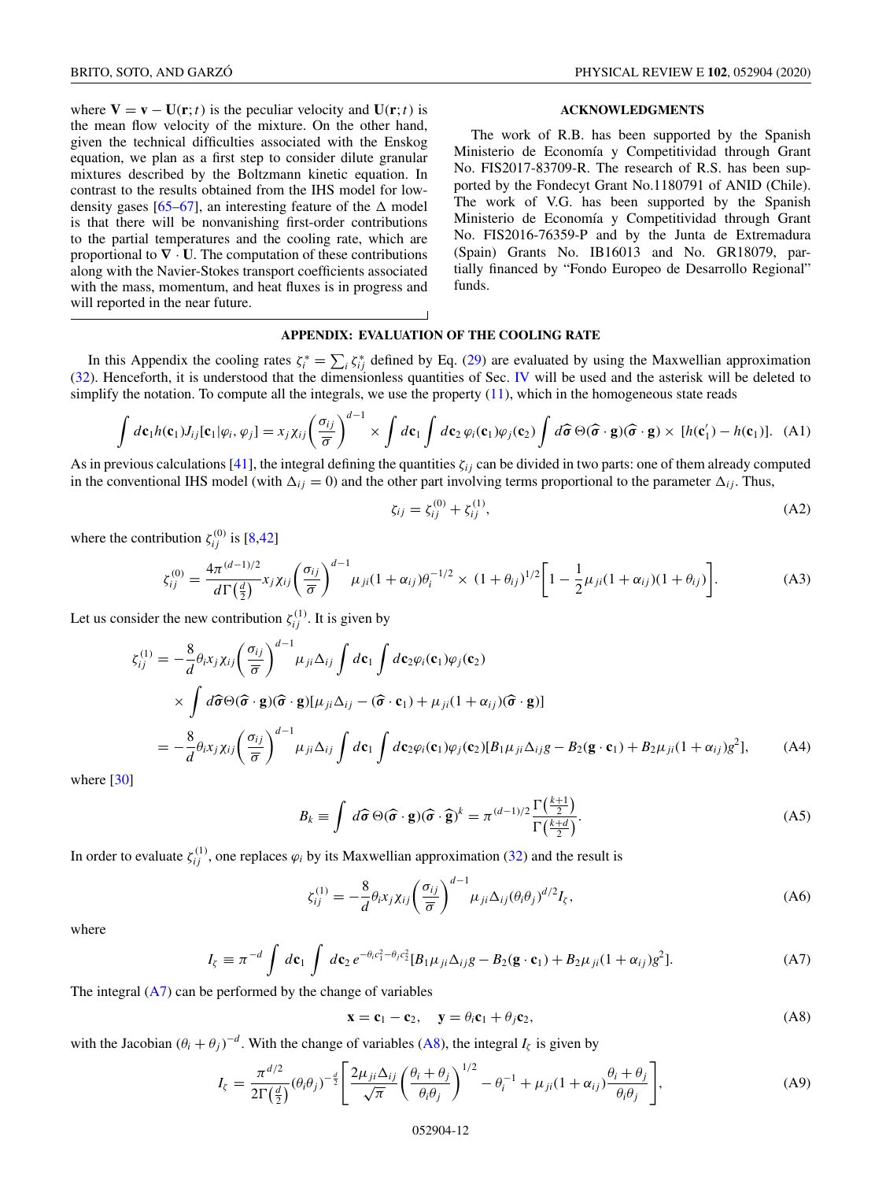will reported in the near future.

<span id="page-11-0"></span>where  $V = v - U(r; t)$  is the peculiar velocity and  $U(r; t)$  is

# **ACKNOWLEDGMENTS**

the mean flow velocity of the mixture. On the other hand, given the technical difficulties associated with the Enskog equation, we plan as a first step to consider dilute granular mixtures described by the Boltzmann kinetic equation. In contrast to the results obtained from the IHS model for low-density gases [\[65–67\]](#page-13-0), an interesting feature of the  $\Delta$  model is that there will be nonvanishing first-order contributions to the partial temperatures and the cooling rate, which are proportional to  $\nabla \cdot \mathbf{U}$ . The computation of these contributions along with the Navier-Stokes transport coefficients associated with the mass, momentum, and heat fluxes is in progress and The work of R.B. has been supported by the Spanish Ministerio de Economía y Competitividad through Grant No. FIS2017-83709-R. The research of R.S. has been supported by the Fondecyt Grant No.1180791 of ANID (Chile). The work of V.G. has been supported by the Spanish Ministerio de Economía y Competitividad through Grant No. FIS2016-76359-P and by the Junta de Extremadura (Spain) Grants No. IB16013 and No. GR18079, partially financed by "Fondo Europeo de Desarrollo Regional" funds.

# **APPENDIX: EVALUATION OF THE COOLING RATE**

In this Appendix the cooling rates  $\zeta_i^* = \sum_i \zeta_{ij}^*$  defined by Eq. [\(29\)](#page-4-0) are evaluated by using the Maxwellian approximation [\(32\)](#page-4-0). Henceforth, it is understood that the dimensionless quantities of Sec. [IV](#page-4-0) will be used and the asterisk will be deleted to simplify the notation. To compute all the integrals, we use the property  $(11)$ , which in the homogeneous state reads

$$
\int d\mathbf{c}_1 h(\mathbf{c}_1) J_{ij}[\mathbf{c}_1 | \varphi_i, \varphi_j] = x_j \chi_{ij} \left( \frac{\sigma_{ij}}{\overline{\sigma}} \right)^{d-1} \times \int d\mathbf{c}_1 \int d\mathbf{c}_2 \, \varphi_i(\mathbf{c}_1) \varphi_j(\mathbf{c}_2) \int d\widehat{\boldsymbol{\sigma}} \, \Theta(\widehat{\boldsymbol{\sigma}} \cdot \mathbf{g}) (\widehat{\boldsymbol{\sigma}} \cdot \mathbf{g}) \times [h(\mathbf{c}'_1) - h(\mathbf{c}_1)]. \tag{A1}
$$

As in previous calculations [\[41\]](#page-13-0), the integral defining the quantities  $\zeta_{ij}$  can be divided in two parts: one of them already computed in the conventional IHS model (with  $\Delta_{ij} = 0$ ) and the other part involving terms proportional to the parameter  $\Delta_{ij}$ . Thus,

$$
\zeta_{ij} = \zeta_{ij}^{(0)} + \zeta_{ij}^{(1)},\tag{A2}
$$

where the contribution  $\zeta_{ij}^{(0)}$  is [\[8,](#page-12-0)[42\]](#page-13-0)

$$
\zeta_{ij}^{(0)} = \frac{4\pi^{(d-1)/2}}{d\Gamma(\frac{d}{2})} x_j \chi_{ij} \left(\frac{\sigma_{ij}}{\bar{\sigma}}\right)^{d-1} \mu_{ji} (1+\alpha_{ij}) \theta_i^{-1/2} \times (1+\theta_{ij})^{1/2} \left[1 - \frac{1}{2} \mu_{ji} (1+\alpha_{ij}) (1+\theta_{ij})\right].
$$
 (A3)

Let us consider the new contribution  $\zeta_{ij}^{(1)}$ . It is given by

$$
\xi_{ij}^{(1)} = -\frac{8}{d} \theta_i x_j \chi_{ij} \left(\frac{\sigma_{ij}}{\overline{\sigma}}\right)^{d-1} \mu_{ji} \Delta_{ij} \int d\mathbf{c}_1 \int d\mathbf{c}_2 \varphi_i(\mathbf{c}_1) \varphi_j(\mathbf{c}_2)
$$
\n
$$
\times \int d\widehat{\sigma} \Theta(\widehat{\sigma} \cdot \mathbf{g}) (\widehat{\sigma} \cdot \mathbf{g}) [\mu_{ji} \Delta_{ij} - (\widehat{\sigma} \cdot \mathbf{c}_1) + \mu_{ji} (1 + \alpha_{ij}) (\widehat{\sigma} \cdot \mathbf{g})]
$$
\n
$$
= -\frac{8}{d} \theta_i x_j \chi_{ij} \left(\frac{\sigma_{ij}}{\overline{\sigma}}\right)^{d-1} \mu_{ji} \Delta_{ij} \int d\mathbf{c}_1 \int d\mathbf{c}_2 \varphi_i(\mathbf{c}_1) \varphi_j(\mathbf{c}_2) [B_1 \mu_{ji} \Delta_{ij} g - B_2 (\mathbf{g} \cdot \mathbf{c}_1) + B_2 \mu_{ji} (1 + \alpha_{ij}) g^2], \tag{A4}
$$

where [\[30\]](#page-12-0)

$$
B_k \equiv \int d\hat{\sigma} \Theta(\hat{\sigma} \cdot \mathbf{g})(\hat{\sigma} \cdot \hat{\mathbf{g}})^k = \pi^{(d-1)/2} \frac{\Gamma(\frac{k+1}{2})}{\Gamma(\frac{k+d}{2})}.
$$
 (A5)

In order to evaluate  $\zeta_{ij}^{(1)}$ , one replaces  $\varphi_i$  by its Maxwellian approximation [\(32\)](#page-4-0) and the result is

$$
\zeta_{ij}^{(1)} = -\frac{8}{d} \theta_i x_j \chi_{ij} \left(\frac{\sigma_{ij}}{\overline{\sigma}}\right)^{d-1} \mu_{ji} \Delta_{ij} (\theta_i \theta_j)^{d/2} I_{\zeta}, \tag{A6}
$$

where

$$
I_{\zeta} \equiv \pi^{-d} \int d\mathbf{c}_1 \int d\mathbf{c}_2 e^{-\theta_i c_1^2 - \theta_j c_2^2} [B_1 \mu_{ji} \Delta_{ij} g - B_2 (\mathbf{g} \cdot \mathbf{c}_1) + B_2 \mu_{ji} (1 + \alpha_{ij}) g^2]. \tag{A7}
$$

The integral  $(A7)$  can be performed by the change of variables

$$
\mathbf{x} = \mathbf{c}_1 - \mathbf{c}_2, \quad \mathbf{y} = \theta_i \mathbf{c}_1 + \theta_j \mathbf{c}_2,
$$
 (A8)

with the Jacobian  $(\theta_i + \theta_j)^{-d}$ . With the change of variables (A8), the integral  $I_{\zeta}$  is given by

$$
I_{\zeta} = \frac{\pi^{d/2}}{2\Gamma(\frac{d}{2})} (\theta_i \theta_j)^{-\frac{d}{2}} \left[ \frac{2\mu_{ji} \Delta_{ij}}{\sqrt{\pi}} \left( \frac{\theta_i + \theta_j}{\theta_i \theta_j} \right)^{1/2} - \theta_i^{-1} + \mu_{ji} (1 + \alpha_{ij}) \frac{\theta_i + \theta_j}{\theta_i \theta_j} \right],
$$
(A9)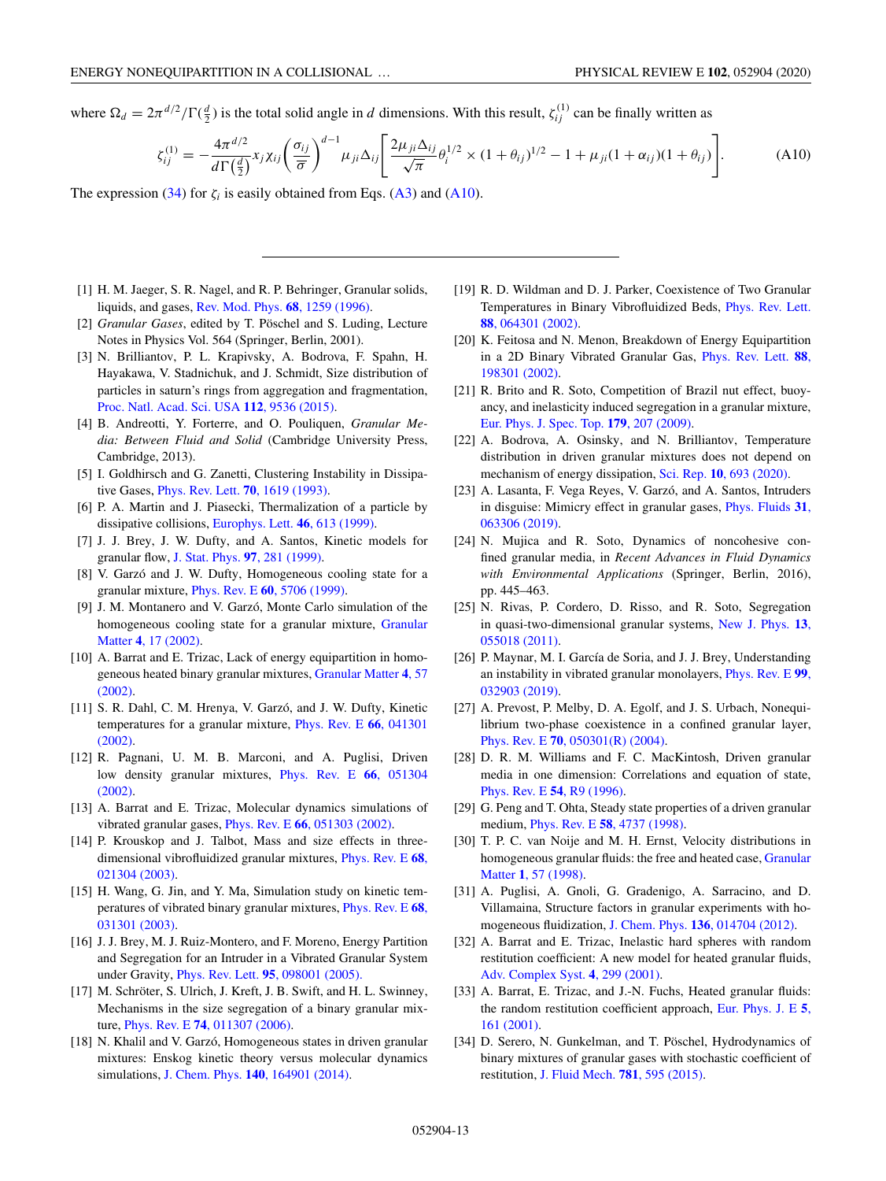<span id="page-12-0"></span>where  $\Omega_d = 2\pi^{d/2} / \Gamma(\frac{d}{2})$  is the total solid angle in *d* dimensions. With this result,  $\zeta_{ij}^{(1)}$  can be finally written as

$$
\zeta_{ij}^{(1)} = -\frac{4\pi^{d/2}}{d\Gamma(\frac{d}{2})} x_j \chi_{ij} \left(\frac{\sigma_{ij}}{\bar{\sigma}}\right)^{d-1} \mu_{ji} \Delta_{ij} \left[\frac{2\mu_{ji} \Delta_{ij}}{\sqrt{\pi}} \theta_i^{1/2} \times (1 + \theta_{ij})^{1/2} - 1 + \mu_{ji} (1 + \alpha_{ij}) (1 + \theta_{ij})\right].
$$
 (A10)

The expression [\(34\)](#page-4-0) for  $\zeta_i$  is easily obtained from Eqs. [\(A3\)](#page-11-0) and (A10).

- [1] H. M. Jaeger, S. R. Nagel, and R. P. Behringer, Granular solids, liquids, and gases, [Rev. Mod. Phys.](https://doi.org/10.1103/RevModPhys.68.1259) **68**, 1259 (1996).
- [2] *Granular Gases*, edited by T. Pöschel and S. Luding, Lecture Notes in Physics Vol. 564 (Springer, Berlin, 2001).
- [3] N. Brilliantov, P. L. Krapivsky, A. Bodrova, F. Spahn, H. Hayakawa, V. Stadnichuk, and J. Schmidt, Size distribution of particles in saturn's rings from aggregation and fragmentation, [Proc. Natl. Acad. Sci. USA](https://doi.org/10.1073/pnas.1503957112) **112**, 9536 (2015).
- [4] B. Andreotti, Y. Forterre, and O. Pouliquen, *Granular Media: Between Fluid and Solid* (Cambridge University Press, Cambridge, 2013).
- [5] I. Goldhirsch and G. Zanetti, Clustering Instability in Dissipative Gases, [Phys. Rev. Lett.](https://doi.org/10.1103/PhysRevLett.70.1619) **70**, 1619 (1993).
- [6] P. A. Martin and J. Piasecki, Thermalization of a particle by dissipative collisions, [Europhys. Lett.](https://doi.org/10.1209/epl/i1999-00308-1) **46**, 613 (1999).
- [7] J. J. Brey, J. W. Dufty, and A. Santos, Kinetic models for granular flow, [J. Stat. Phys.](https://doi.org/10.1023/A:1004675320309) **97**, 281 (1999).
- [8] V. Garzó and J. W. Dufty, Homogeneous cooling state for a granular mixture, Phys. Rev. E **60**[, 5706 \(1999\).](https://doi.org/10.1103/PhysRevE.60.5706)
- [9] J. M. Montanero and V. Garzó, Monte Carlo simulation of the [homogeneous cooling state for a granular mixture,](https://doi.org/10.1007/s10035-001-0097-8) Granular Matter **4**, 17 (2002).
- [10] A. Barrat and E. Trizac, Lack of energy equipartition in homo[geneous heated binary granular mixtures,](https://doi.org/10.1007/s10035-002-0108-4) Granular Matter **4**, 57 (2002).
- [11] S. R. Dahl, C. M. Hrenya, V. Garzó, and J. W. Dufty, Kinetic [temperatures for a granular mixture,](https://doi.org/10.1103/PhysRevE.66.041301) Phys. Rev. E **66**, 041301 (2002).
- [12] R. Pagnani, U. M. B. Marconi, and A. Puglisi, Driven [low density granular mixtures,](https://doi.org/10.1103/PhysRevE.66.051304) Phys. Rev. E **66**, 051304 (2002).
- [13] A. Barrat and E. Trizac, Molecular dynamics simulations of vibrated granular gases, Phys. Rev. E **66**[, 051303 \(2002\).](https://doi.org/10.1103/PhysRevE.66.051303)
- [14] P. Krouskop and J. Talbot, Mass and size effects in three[dimensional vibrofluidized granular mixtures,](https://doi.org/10.1103/PhysRevE.68.021304) Phys. Rev. E **68**, 021304 (2003).
- [15] H. Wang, G. Jin, and Y. Ma, Simulation study on kinetic tem[peratures of vibrated binary granular mixtures,](https://doi.org/10.1103/PhysRevE.68.031301) Phys. Rev. E **68**, 031301 (2003).
- [16] J. J. Brey, M. J. Ruiz-Montero, and F. Moreno, Energy Partition and Segregation for an Intruder in a Vibrated Granular System under Gravity, Phys. Rev. Lett. **95**[, 098001 \(2005\).](https://doi.org/10.1103/PhysRevLett.95.098001)
- [17] M. Schröter, S. Ulrich, J. Kreft, J. B. Swift, and H. L. Swinney, Mechanisms in the size segregation of a binary granular mixture, Phys. Rev. E **74**[, 011307 \(2006\).](https://doi.org/10.1103/PhysRevE.74.011307)
- [18] N. Khalil and V. Garzó, Homogeneous states in driven granular mixtures: Enskog kinetic theory versus molecular dynamics simulations, J. Chem. Phys. **140**[, 164901 \(2014\).](https://doi.org/10.1063/1.4871628)
- [19] R. D. Wildman and D. J. Parker, Coexistence of Two Granular [Temperatures in Binary Vibrofluidized Beds,](https://doi.org/10.1103/PhysRevLett.88.064301) Phys. Rev. Lett. **88**, 064301 (2002).
- [20] K. Feitosa and N. Menon, Breakdown of Energy Equipartition [in a 2D Binary Vibrated Granular Gas,](https://doi.org/10.1103/PhysRevLett.88.198301) Phys. Rev. Lett. **88**, 198301 (2002).
- [21] R. Brito and R. Soto, Competition of Brazil nut effect, buoyancy, and inelasticity induced segregation in a granular mixture, [Eur. Phys. J. Spec. Top.](https://doi.org/10.1140/epjst/e2010-01204-5) **179**, 207 (2009).
- [22] A. Bodrova, A. Osinsky, and N. Brilliantov, Temperature distribution in driven granular mixtures does not depend on mechanism of energy dissipation, Sci. Rep. **10**[, 693 \(2020\).](https://doi.org/10.1038/s41598-020-57420-0)
- [23] A. Lasanta, F. Vega Reyes, V. Garzó, and A. Santos, Intruders [in disguise: Mimicry effect in granular gases,](https://doi.org/10.1063/1.5097398) Phys. Fluids **31**, 063306 (2019).
- [24] N. Mujica and R. Soto, Dynamics of noncohesive confined granular media, in *Recent Advances in Fluid Dynamics with Environmental Applications* (Springer, Berlin, 2016), pp. 445–463.
- [25] N. Rivas, P. Cordero, D. Risso, and R. Soto, Segregation [in quasi-two-dimensional granular systems,](https://doi.org/10.1088/1367-2630/13/5/055018) New J. Phys. **13**, 055018 (2011).
- [26] P. Maynar, M. I. García de Soria, and J. J. Brey, Understanding [an instability in vibrated granular monolayers,](https://doi.org/10.1103/PhysRevE.99.032903) Phys. Rev. E **99**, 032903 (2019).
- [27] A. Prevost, P. Melby, D. A. Egolf, and J. S. Urbach, Nonequilibrium two-phase coexistence in a confined granular layer, Phys. Rev. E **70**[, 050301\(R\) \(2004\).](https://doi.org/10.1103/PhysRevE.70.050301)
- [28] D. R. M. Williams and F. C. MacKintosh, Driven granular media in one dimension: Correlations and equation of state, [Phys. Rev. E](https://doi.org/10.1103/PhysRevE.54.R9) **54**, R9 (1996).
- [29] G. Peng and T. Ohta, Steady state properties of a driven granular medium, Phys. Rev. E **58**[, 4737 \(1998\).](https://doi.org/10.1103/PhysRevE.58.4737)
- [30] T. P. C. van Noije and M. H. Ernst, Velocity distributions in [homogeneous granular fluids: the free and heated case,](https://doi.org/10.1007/s100350050009) Granular Matter **1**, 57 (1998).
- [31] A. Puglisi, A. Gnoli, G. Gradenigo, A. Sarracino, and D. Villamaina, Structure factors in granular experiments with homogeneous fluidization, J. Chem. Phys. **136**[, 014704 \(2012\).](https://doi.org/10.1063/1.3673876)
- [32] A. Barrat and E. Trizac, Inelastic hard spheres with random restitution coefficient: A new model for heated granular fluids, [Adv. Complex Syst.](https://doi.org/10.1142/S021952590100036X) **4**, 299 (2001).
- [33] A. Barrat, E. Trizac, and J.-N. Fuchs, Heated granular fluids: [the random restitution coefficient approach,](https://doi.org/10.1007/s101890170072) Eur. Phys. J. E **5**, 161 (2001).
- [34] D. Serero, N. Gunkelman, and T. Pöschel, Hydrodynamics of binary mixtures of granular gases with stochastic coefficient of restitution, [J. Fluid Mech.](https://doi.org/10.1017/jfm.2015.501) **781**, 595 (2015).